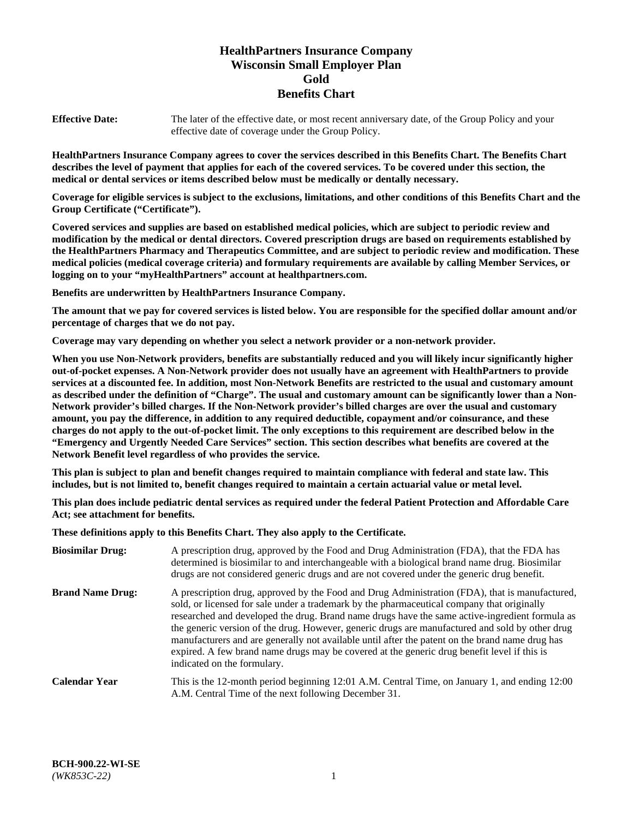# **HealthPartners Insurance Company Wisconsin Small Employer Plan Gold Benefits Chart**

**Effective Date:** The later of the effective date, or most recent anniversary date, of the Group Policy and your effective date of coverage under the Group Policy.

**HealthPartners Insurance Company agrees to cover the services described in this Benefits Chart. The Benefits Chart describes the level of payment that applies for each of the covered services. To be covered under this section, the medical or dental services or items described below must be medically or dentally necessary.**

**Coverage for eligible services is subject to the exclusions, limitations, and other conditions of this Benefits Chart and the Group Certificate ("Certificate").**

**Covered services and supplies are based on established medical policies, which are subject to periodic review and modification by the medical or dental directors. Covered prescription drugs are based on requirements established by the HealthPartners Pharmacy and Therapeutics Committee, and are subject to periodic review and modification. These medical policies (medical coverage criteria) and formulary requirements are available by calling Member Services, or logging on to your "myHealthPartners" account at [healthpartners.com.](https://www.healthpartners.com/hp/index.html)** 

**Benefits are underwritten by HealthPartners Insurance Company.**

**The amount that we pay for covered services is listed below. You are responsible for the specified dollar amount and/or percentage of charges that we do not pay.**

**Coverage may vary depending on whether you select a network provider or a non-network provider.**

**When you use Non-Network providers, benefits are substantially reduced and you will likely incur significantly higher out-of-pocket expenses. A Non-Network provider does not usually have an agreement with HealthPartners to provide services at a discounted fee. In addition, most Non-Network Benefits are restricted to the usual and customary amount as described under the definition of "Charge". The usual and customary amount can be significantly lower than a Non-Network provider's billed charges. If the Non-Network provider's billed charges are over the usual and customary amount, you pay the difference, in addition to any required deductible, copayment and/or coinsurance, and these charges do not apply to the out-of-pocket limit. The only exceptions to this requirement are described below in the "Emergency and Urgently Needed Care Services" section. This section describes what benefits are covered at the Network Benefit level regardless of who provides the service.**

**This plan is subject to plan and benefit changes required to maintain compliance with federal and state law. This includes, but is not limited to, benefit changes required to maintain a certain actuarial value or metal level.**

**This plan does include pediatric dental services as required under the federal Patient Protection and Affordable Care Act; see attachment for benefits.**

**These definitions apply to this Benefits Chart. They also apply to the Certificate.**

| <b>Biosimilar Drug:</b> | A prescription drug, approved by the Food and Drug Administration (FDA), that the FDA has<br>determined is biosimilar to and interchangeable with a biological brand name drug. Biosimilar<br>drugs are not considered generic drugs and are not covered under the generic drug benefit.                                                                                                                                                                                                                                                                                                                                           |
|-------------------------|------------------------------------------------------------------------------------------------------------------------------------------------------------------------------------------------------------------------------------------------------------------------------------------------------------------------------------------------------------------------------------------------------------------------------------------------------------------------------------------------------------------------------------------------------------------------------------------------------------------------------------|
| <b>Brand Name Drug:</b> | A prescription drug, approved by the Food and Drug Administration (FDA), that is manufactured,<br>sold, or licensed for sale under a trademark by the pharmaceutical company that originally<br>researched and developed the drug. Brand name drugs have the same active-ingredient formula as<br>the generic version of the drug. However, generic drugs are manufactured and sold by other drug<br>manufacturers and are generally not available until after the patent on the brand name drug has<br>expired. A few brand name drugs may be covered at the generic drug benefit level if this is<br>indicated on the formulary. |
| <b>Calendar Year</b>    | This is the 12-month period beginning 12:01 A.M. Central Time, on January 1, and ending 12:00<br>A.M. Central Time of the next following December 31.                                                                                                                                                                                                                                                                                                                                                                                                                                                                              |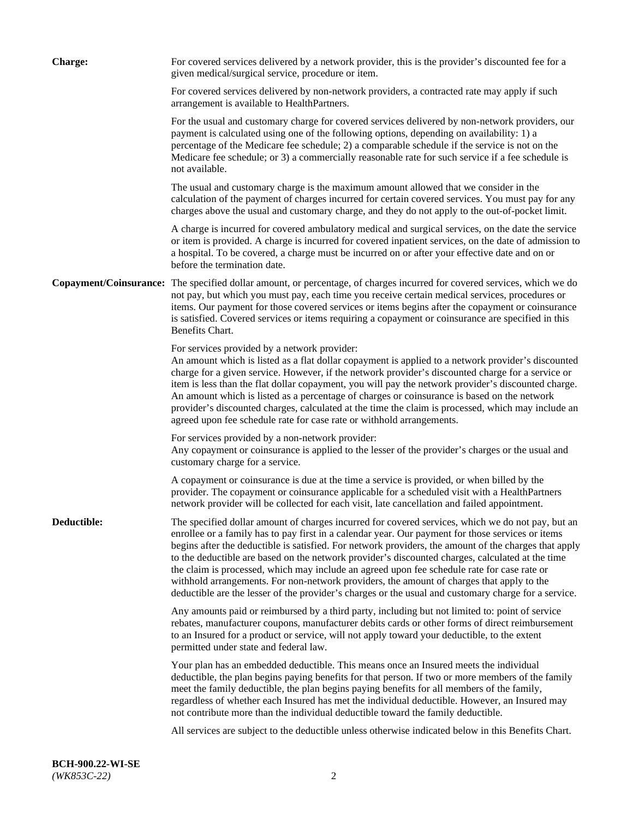| <b>Charge:</b> | For covered services delivered by a network provider, this is the provider's discounted fee for a<br>given medical/surgical service, procedure or item.                                                                                                                                                                                                                                                                                                                                                                                                                                                                                                                                                                 |
|----------------|-------------------------------------------------------------------------------------------------------------------------------------------------------------------------------------------------------------------------------------------------------------------------------------------------------------------------------------------------------------------------------------------------------------------------------------------------------------------------------------------------------------------------------------------------------------------------------------------------------------------------------------------------------------------------------------------------------------------------|
|                | For covered services delivered by non-network providers, a contracted rate may apply if such<br>arrangement is available to HealthPartners.                                                                                                                                                                                                                                                                                                                                                                                                                                                                                                                                                                             |
|                | For the usual and customary charge for covered services delivered by non-network providers, our<br>payment is calculated using one of the following options, depending on availability: 1) a<br>percentage of the Medicare fee schedule; 2) a comparable schedule if the service is not on the<br>Medicare fee schedule; or 3) a commercially reasonable rate for such service if a fee schedule is<br>not available.                                                                                                                                                                                                                                                                                                   |
|                | The usual and customary charge is the maximum amount allowed that we consider in the<br>calculation of the payment of charges incurred for certain covered services. You must pay for any<br>charges above the usual and customary charge, and they do not apply to the out-of-pocket limit.                                                                                                                                                                                                                                                                                                                                                                                                                            |
|                | A charge is incurred for covered ambulatory medical and surgical services, on the date the service<br>or item is provided. A charge is incurred for covered inpatient services, on the date of admission to<br>a hospital. To be covered, a charge must be incurred on or after your effective date and on or<br>before the termination date.                                                                                                                                                                                                                                                                                                                                                                           |
|                | Copayment/Coinsurance: The specified dollar amount, or percentage, of charges incurred for covered services, which we do<br>not pay, but which you must pay, each time you receive certain medical services, procedures or<br>items. Our payment for those covered services or items begins after the copayment or coinsurance<br>is satisfied. Covered services or items requiring a copayment or coinsurance are specified in this<br>Benefits Chart.                                                                                                                                                                                                                                                                 |
|                | For services provided by a network provider:<br>An amount which is listed as a flat dollar copayment is applied to a network provider's discounted<br>charge for a given service. However, if the network provider's discounted charge for a service or<br>item is less than the flat dollar copayment, you will pay the network provider's discounted charge.<br>An amount which is listed as a percentage of charges or coinsurance is based on the network<br>provider's discounted charges, calculated at the time the claim is processed, which may include an<br>agreed upon fee schedule rate for case rate or withhold arrangements.                                                                            |
|                | For services provided by a non-network provider:<br>Any copayment or coinsurance is applied to the lesser of the provider's charges or the usual and<br>customary charge for a service.                                                                                                                                                                                                                                                                                                                                                                                                                                                                                                                                 |
|                | A copayment or coinsurance is due at the time a service is provided, or when billed by the<br>provider. The copayment or coinsurance applicable for a scheduled visit with a HealthPartners<br>network provider will be collected for each visit, late cancellation and failed appointment.                                                                                                                                                                                                                                                                                                                                                                                                                             |
| Deductible:    | The specified dollar amount of charges incurred for covered services, which we do not pay, but an<br>enrollee or a family has to pay first in a calendar year. Our payment for those services or items<br>begins after the deductible is satisfied. For network providers, the amount of the charges that apply<br>to the deductible are based on the network provider's discounted charges, calculated at the time<br>the claim is processed, which may include an agreed upon fee schedule rate for case rate or<br>withhold arrangements. For non-network providers, the amount of charges that apply to the<br>deductible are the lesser of the provider's charges or the usual and customary charge for a service. |
|                | Any amounts paid or reimbursed by a third party, including but not limited to: point of service<br>rebates, manufacturer coupons, manufacturer debits cards or other forms of direct reimbursement<br>to an Insured for a product or service, will not apply toward your deductible, to the extent<br>permitted under state and federal law.                                                                                                                                                                                                                                                                                                                                                                            |
|                | Your plan has an embedded deductible. This means once an Insured meets the individual<br>deductible, the plan begins paying benefits for that person. If two or more members of the family<br>meet the family deductible, the plan begins paying benefits for all members of the family,<br>regardless of whether each Insured has met the individual deductible. However, an Insured may<br>not contribute more than the individual deductible toward the family deductible.                                                                                                                                                                                                                                           |
|                | All services are subject to the deductible unless otherwise indicated below in this Benefits Chart.                                                                                                                                                                                                                                                                                                                                                                                                                                                                                                                                                                                                                     |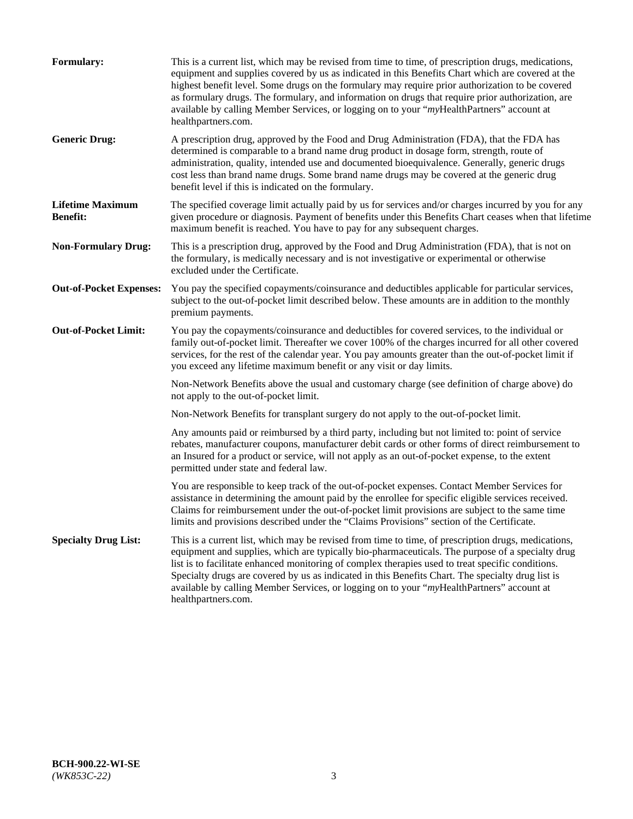| <b>Formulary:</b>                          | This is a current list, which may be revised from time to time, of prescription drugs, medications,<br>equipment and supplies covered by us as indicated in this Benefits Chart which are covered at the<br>highest benefit level. Some drugs on the formulary may require prior authorization to be covered<br>as formulary drugs. The formulary, and information on drugs that require prior authorization, are<br>available by calling Member Services, or logging on to your "myHealthPartners" account at<br>healthpartners.com. |
|--------------------------------------------|---------------------------------------------------------------------------------------------------------------------------------------------------------------------------------------------------------------------------------------------------------------------------------------------------------------------------------------------------------------------------------------------------------------------------------------------------------------------------------------------------------------------------------------|
| <b>Generic Drug:</b>                       | A prescription drug, approved by the Food and Drug Administration (FDA), that the FDA has<br>determined is comparable to a brand name drug product in dosage form, strength, route of<br>administration, quality, intended use and documented bioequivalence. Generally, generic drugs<br>cost less than brand name drugs. Some brand name drugs may be covered at the generic drug<br>benefit level if this is indicated on the formulary.                                                                                           |
| <b>Lifetime Maximum</b><br><b>Benefit:</b> | The specified coverage limit actually paid by us for services and/or charges incurred by you for any<br>given procedure or diagnosis. Payment of benefits under this Benefits Chart ceases when that lifetime<br>maximum benefit is reached. You have to pay for any subsequent charges.                                                                                                                                                                                                                                              |
| <b>Non-Formulary Drug:</b>                 | This is a prescription drug, approved by the Food and Drug Administration (FDA), that is not on<br>the formulary, is medically necessary and is not investigative or experimental or otherwise<br>excluded under the Certificate.                                                                                                                                                                                                                                                                                                     |
| <b>Out-of-Pocket Expenses:</b>             | You pay the specified copayments/coinsurance and deductibles applicable for particular services,<br>subject to the out-of-pocket limit described below. These amounts are in addition to the monthly<br>premium payments.                                                                                                                                                                                                                                                                                                             |
| <b>Out-of-Pocket Limit:</b>                | You pay the copayments/coinsurance and deductibles for covered services, to the individual or<br>family out-of-pocket limit. Thereafter we cover 100% of the charges incurred for all other covered<br>services, for the rest of the calendar year. You pay amounts greater than the out-of-pocket limit if<br>you exceed any lifetime maximum benefit or any visit or day limits.                                                                                                                                                    |
|                                            | Non-Network Benefits above the usual and customary charge (see definition of charge above) do<br>not apply to the out-of-pocket limit.                                                                                                                                                                                                                                                                                                                                                                                                |
|                                            | Non-Network Benefits for transplant surgery do not apply to the out-of-pocket limit.                                                                                                                                                                                                                                                                                                                                                                                                                                                  |
|                                            | Any amounts paid or reimbursed by a third party, including but not limited to: point of service<br>rebates, manufacturer coupons, manufacturer debit cards or other forms of direct reimbursement to<br>an Insured for a product or service, will not apply as an out-of-pocket expense, to the extent<br>permitted under state and federal law.                                                                                                                                                                                      |
|                                            | You are responsible to keep track of the out-of-pocket expenses. Contact Member Services for<br>assistance in determining the amount paid by the enrollee for specific eligible services received.<br>Claims for reimbursement under the out-of-pocket limit provisions are subject to the same time<br>limits and provisions described under the "Claims Provisions" section of the Certificate.                                                                                                                                     |
| <b>Specialty Drug List:</b>                | This is a current list, which may be revised from time to time, of prescription drugs, medications,<br>equipment and supplies, which are typically bio-pharmaceuticals. The purpose of a specialty drug<br>list is to facilitate enhanced monitoring of complex therapies used to treat specific conditions.<br>Specialty drugs are covered by us as indicated in this Benefits Chart. The specialty drug list is<br>available by calling Member Services, or logging on to your "myHealthPartners" account at<br>healthpartners.com. |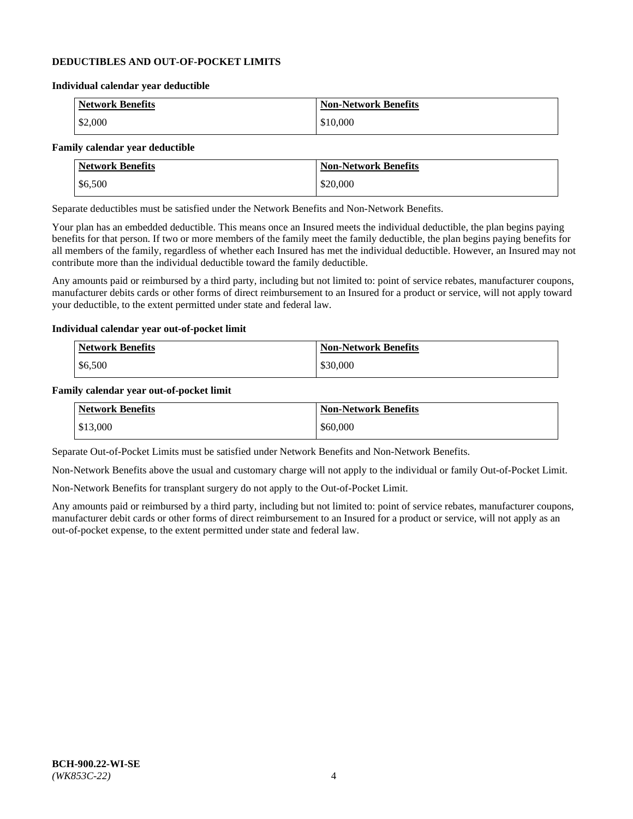### **DEDUCTIBLES AND OUT-OF-POCKET LIMITS**

#### **Individual calendar year deductible**

| <b>Network Benefits</b> | <b>Non-Network Benefits</b> |
|-------------------------|-----------------------------|
| \$2,000                 | \$10,000                    |

### **Family calendar year deductible**

| <b>Network Benefits</b> | <b>Non-Network Benefits</b> |
|-------------------------|-----------------------------|
| \$6,500                 | \$20,000                    |

Separate deductibles must be satisfied under the Network Benefits and Non-Network Benefits.

Your plan has an embedded deductible. This means once an Insured meets the individual deductible, the plan begins paying benefits for that person. If two or more members of the family meet the family deductible, the plan begins paying benefits for all members of the family, regardless of whether each Insured has met the individual deductible. However, an Insured may not contribute more than the individual deductible toward the family deductible.

Any amounts paid or reimbursed by a third party, including but not limited to: point of service rebates, manufacturer coupons, manufacturer debits cards or other forms of direct reimbursement to an Insured for a product or service, will not apply toward your deductible, to the extent permitted under state and federal law.

#### **Individual calendar year out-of-pocket limit**

| Network Benefits | <b>Non-Network Benefits</b> |
|------------------|-----------------------------|
| \$6,500          | \$30,000                    |

#### **Family calendar year out-of-pocket limit**

| <b>Network Benefits</b> | <b>Non-Network Benefits</b> |
|-------------------------|-----------------------------|
| $\frac{$13,000}{}$      | \$60,000                    |

Separate Out-of-Pocket Limits must be satisfied under Network Benefits and Non-Network Benefits.

Non-Network Benefits above the usual and customary charge will not apply to the individual or family Out-of-Pocket Limit.

Non-Network Benefits for transplant surgery do not apply to the Out-of-Pocket Limit.

Any amounts paid or reimbursed by a third party, including but not limited to: point of service rebates, manufacturer coupons, manufacturer debit cards or other forms of direct reimbursement to an Insured for a product or service, will not apply as an out-of-pocket expense, to the extent permitted under state and federal law.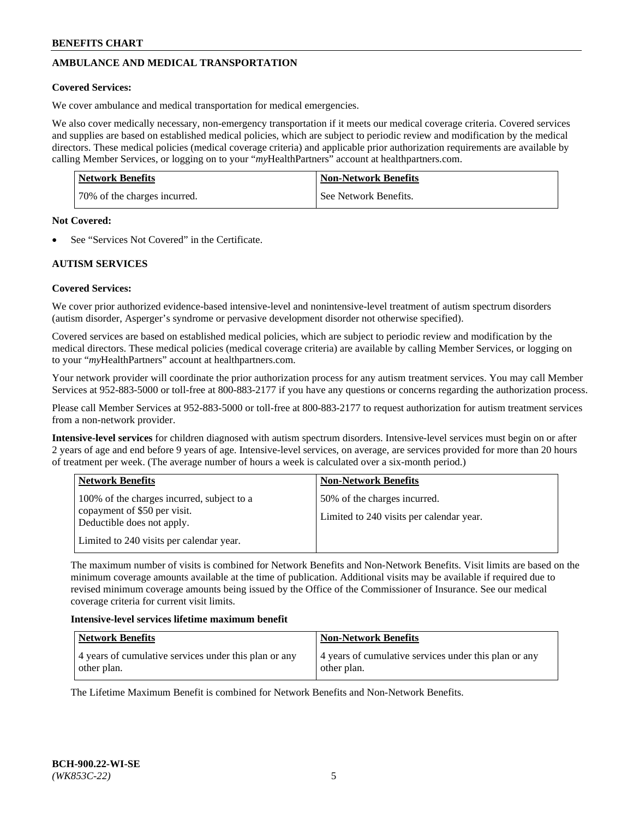# **AMBULANCE AND MEDICAL TRANSPORTATION**

### **Covered Services:**

We cover ambulance and medical transportation for medical emergencies.

We also cover medically necessary, non-emergency transportation if it meets our medical coverage criteria. Covered services and supplies are based on established medical policies, which are subject to periodic review and modification by the medical directors. These medical policies (medical coverage criteria) and applicable prior authorization requirements are available by calling Member Services, or logging on to your "*my*HealthPartners" account a[t healthpartners.com.](https://www.healthpartners.com/hp/index.html)

| <b>Network Benefits</b>      | <b>Non-Network Benefits</b> |
|------------------------------|-----------------------------|
| 70% of the charges incurred. | See Network Benefits.       |

#### **Not Covered:**

See "Services Not Covered" in the Certificate.

## **AUTISM SERVICES**

## **Covered Services:**

We cover prior authorized evidence-based intensive-level and nonintensive-level treatment of autism spectrum disorders (autism disorder, Asperger's syndrome or pervasive development disorder not otherwise specified).

Covered services are based on established medical policies, which are subject to periodic review and modification by the medical directors. These medical policies (medical coverage criteria) are available by calling Member Services, or logging on to your "*my*HealthPartners" account at [healthpartners.com.](https://www.healthpartners.com/hp/index.html)

Your network provider will coordinate the prior authorization process for any autism treatment services. You may call Member Services at 952-883-5000 or toll-free at 800-883-2177 if you have any questions or concerns regarding the authorization process.

Please call Member Services at 952-883-5000 or toll-free at 800-883-2177 to request authorization for autism treatment services from a non-network provider.

**Intensive-level services** for children diagnosed with autism spectrum disorders. Intensive-level services must begin on or after 2 years of age and end before 9 years of age. Intensive-level services, on average, are services provided for more than 20 hours of treatment per week. (The average number of hours a week is calculated over a six-month period.)

| <b>Network Benefits</b>                                                                                                                              | <b>Non-Network Benefits</b>                                              |
|------------------------------------------------------------------------------------------------------------------------------------------------------|--------------------------------------------------------------------------|
| 100% of the charges incurred, subject to a<br>copayment of \$50 per visit.<br>Deductible does not apply.<br>Limited to 240 visits per calendar year. | 50% of the charges incurred.<br>Limited to 240 visits per calendar year. |

The maximum number of visits is combined for Network Benefits and Non-Network Benefits. Visit limits are based on the minimum coverage amounts available at the time of publication. Additional visits may be available if required due to revised minimum coverage amounts being issued by the Office of the Commissioner of Insurance. See our medical coverage criteria for current visit limits.

#### **Intensive-level services lifetime maximum benefit**

| Network Benefits                                      | <b>Non-Network Benefits</b>                           |
|-------------------------------------------------------|-------------------------------------------------------|
| 4 years of cumulative services under this plan or any | 4 years of cumulative services under this plan or any |
| other plan.                                           | other plan.                                           |

The Lifetime Maximum Benefit is combined for Network Benefits and Non-Network Benefits.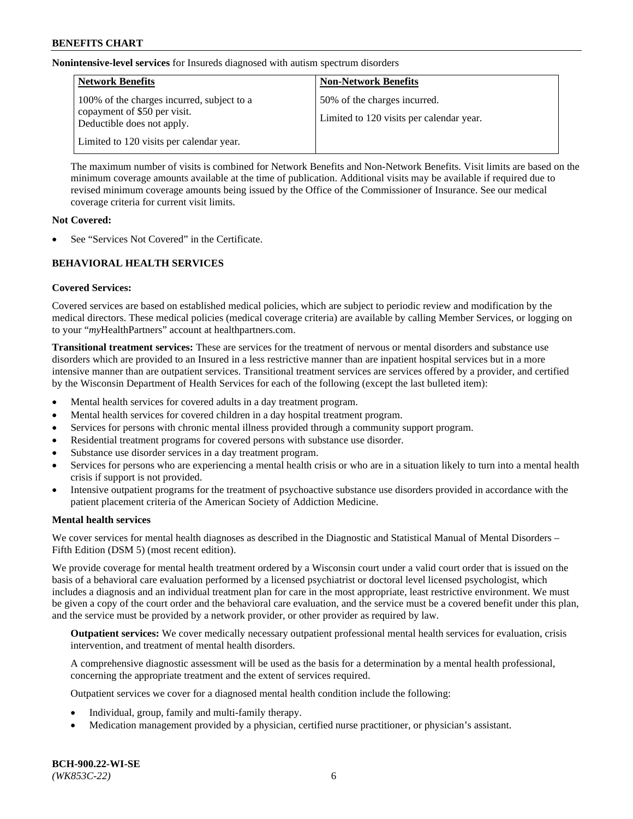**Nonintensive-level services** for Insureds diagnosed with autism spectrum disorders

| <b>Network Benefits</b>                                                                                  | <b>Non-Network Benefits</b>                                              |
|----------------------------------------------------------------------------------------------------------|--------------------------------------------------------------------------|
| 100% of the charges incurred, subject to a<br>copayment of \$50 per visit.<br>Deductible does not apply. | 50% of the charges incurred.<br>Limited to 120 visits per calendar year. |
| Limited to 120 visits per calendar year.                                                                 |                                                                          |

The maximum number of visits is combined for Network Benefits and Non-Network Benefits. Visit limits are based on the minimum coverage amounts available at the time of publication. Additional visits may be available if required due to revised minimum coverage amounts being issued by the Office of the Commissioner of Insurance. See our medical coverage criteria for current visit limits.

### **Not Covered:**

See "Services Not Covered" in the Certificate.

## **BEHAVIORAL HEALTH SERVICES**

## **Covered Services:**

Covered services are based on established medical policies, which are subject to periodic review and modification by the medical directors. These medical policies (medical coverage criteria) are available by calling Member Services, or logging on to your "*my*HealthPartners" account at [healthpartners.com.](https://www.healthpartners.com/hp/index.html)

**Transitional treatment services:** These are services for the treatment of nervous or mental disorders and substance use disorders which are provided to an Insured in a less restrictive manner than are inpatient hospital services but in a more intensive manner than are outpatient services. Transitional treatment services are services offered by a provider, and certified by the Wisconsin Department of Health Services for each of the following (except the last bulleted item):

- Mental health services for covered adults in a day treatment program.
- Mental health services for covered children in a day hospital treatment program.
- Services for persons with chronic mental illness provided through a community support program.
- Residential treatment programs for covered persons with substance use disorder.
- Substance use disorder services in a day treatment program.
- Services for persons who are experiencing a mental health crisis or who are in a situation likely to turn into a mental health crisis if support is not provided.
- Intensive outpatient programs for the treatment of psychoactive substance use disorders provided in accordance with the patient placement criteria of the American Society of Addiction Medicine.

## **Mental health services**

We cover services for mental health diagnoses as described in the Diagnostic and Statistical Manual of Mental Disorders – Fifth Edition (DSM 5) (most recent edition).

We provide coverage for mental health treatment ordered by a Wisconsin court under a valid court order that is issued on the basis of a behavioral care evaluation performed by a licensed psychiatrist or doctoral level licensed psychologist, which includes a diagnosis and an individual treatment plan for care in the most appropriate, least restrictive environment. We must be given a copy of the court order and the behavioral care evaluation, and the service must be a covered benefit under this plan, and the service must be provided by a network provider, or other provider as required by law.

**Outpatient services:** We cover medically necessary outpatient professional mental health services for evaluation, crisis intervention, and treatment of mental health disorders.

A comprehensive diagnostic assessment will be used as the basis for a determination by a mental health professional, concerning the appropriate treatment and the extent of services required.

Outpatient services we cover for a diagnosed mental health condition include the following:

- Individual, group, family and multi-family therapy.
- Medication management provided by a physician, certified nurse practitioner, or physician's assistant.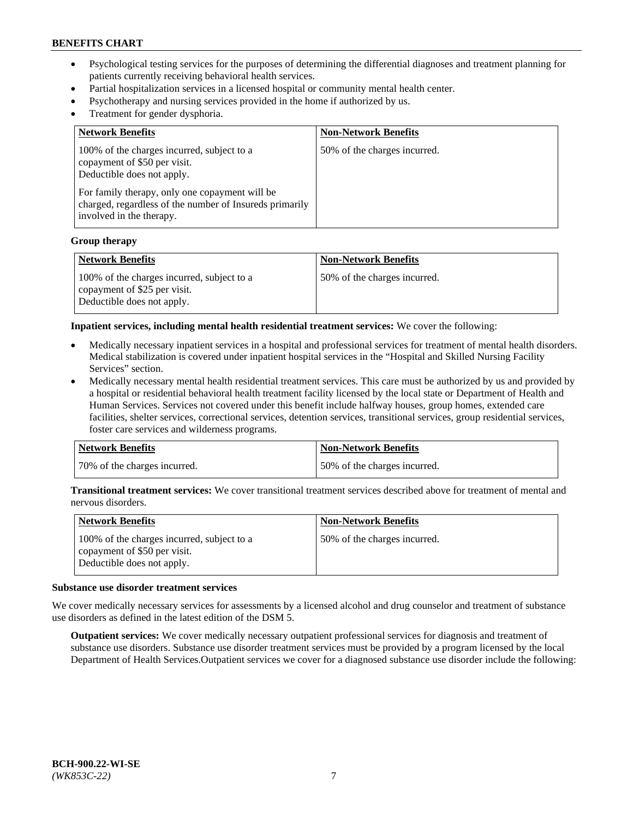- Psychological testing services for the purposes of determining the differential diagnoses and treatment planning for patients currently receiving behavioral health services.
- Partial hospitalization services in a licensed hospital or community mental health center.
- Psychotherapy and nursing services provided in the home if authorized by us.
- Treatment for gender dysphoria.

| <b>Network Benefits</b>                                                                                                                                                                                                                           | <b>Non-Network Benefits</b>  |
|---------------------------------------------------------------------------------------------------------------------------------------------------------------------------------------------------------------------------------------------------|------------------------------|
| 100% of the charges incurred, subject to a<br>copayment of \$50 per visit.<br>Deductible does not apply.<br>For family therapy, only one copayment will be<br>charged, regardless of the number of Insureds primarily<br>involved in the therapy. | 50% of the charges incurred. |

#### **Group therapy**

| Network Benefits                                                                                         | <b>Non-Network Benefits</b>  |
|----------------------------------------------------------------------------------------------------------|------------------------------|
| 100% of the charges incurred, subject to a<br>copayment of \$25 per visit.<br>Deductible does not apply. | 50% of the charges incurred. |

**Inpatient services, including mental health residential treatment services:** We cover the following:

- Medically necessary inpatient services in a hospital and professional services for treatment of mental health disorders. Medical stabilization is covered under inpatient hospital services in the "Hospital and Skilled Nursing Facility Services" section.
- Medically necessary mental health residential treatment services. This care must be authorized by us and provided by a hospital or residential behavioral health treatment facility licensed by the local state or Department of Health and Human Services. Services not covered under this benefit include halfway houses, group homes, extended care facilities, shelter services, correctional services, detention services, transitional services, group residential services, foster care services and wilderness programs.

| Network Benefits             | <b>Non-Network Benefits</b>  |
|------------------------------|------------------------------|
| 70% of the charges incurred. | 50% of the charges incurred. |

**Transitional treatment services:** We cover transitional treatment services described above for treatment of mental and nervous disorders.

| <b>Network Benefits</b>                                                                                  | <b>Non-Network Benefits</b>  |
|----------------------------------------------------------------------------------------------------------|------------------------------|
| 100% of the charges incurred, subject to a<br>copayment of \$50 per visit.<br>Deductible does not apply. | 50% of the charges incurred. |

#### **Substance use disorder treatment services**

We cover medically necessary services for assessments by a licensed alcohol and drug counselor and treatment of substance use disorders as defined in the latest edition of the DSM 5.

**Outpatient services:** We cover medically necessary outpatient professional services for diagnosis and treatment of substance use disorders. Substance use disorder treatment services must be provided by a program licensed by the local Department of Health Services.Outpatient services we cover for a diagnosed substance use disorder include the following: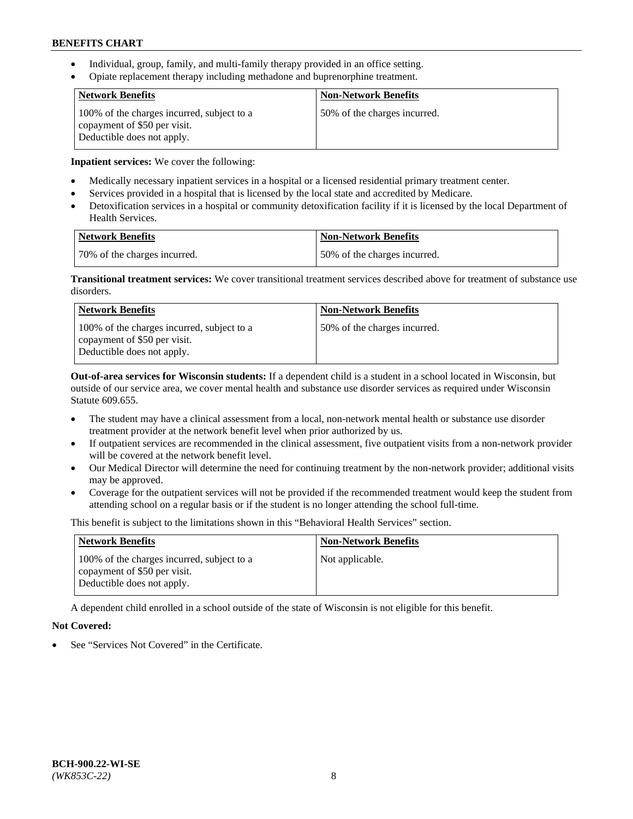- Individual, group, family, and multi-family therapy provided in an office setting.
- Opiate replacement therapy including methadone and buprenorphine treatment.

| <b>Network Benefits</b>                                                                                  | <b>Non-Network Benefits</b>  |
|----------------------------------------------------------------------------------------------------------|------------------------------|
| 100% of the charges incurred, subject to a<br>copayment of \$50 per visit.<br>Deductible does not apply. | 50% of the charges incurred. |

**Inpatient services:** We cover the following:

- Medically necessary inpatient services in a hospital or a licensed residential primary treatment center.
- Services provided in a hospital that is licensed by the local state and accredited by Medicare.
- Detoxification services in a hospital or community detoxification facility if it is licensed by the local Department of Health Services.

| Network Benefits             | <b>Non-Network Benefits</b>  |
|------------------------------|------------------------------|
| 70% of the charges incurred. | 50% of the charges incurred. |

**Transitional treatment services:** We cover transitional treatment services described above for treatment of substance use disorders.

| <b>Network Benefits</b>                                                                                  | <b>Non-Network Benefits</b>  |
|----------------------------------------------------------------------------------------------------------|------------------------------|
| 100% of the charges incurred, subject to a<br>copayment of \$50 per visit.<br>Deductible does not apply. | 50% of the charges incurred. |

**Out-of-area services for Wisconsin students:** If a dependent child is a student in a school located in Wisconsin, but outside of our service area, we cover mental health and substance use disorder services as required under Wisconsin Statute 609.655.

- The student may have a clinical assessment from a local, non-network mental health or substance use disorder treatment provider at the network benefit level when prior authorized by us.
- If outpatient services are recommended in the clinical assessment, five outpatient visits from a non-network provider will be covered at the network benefit level.
- Our Medical Director will determine the need for continuing treatment by the non-network provider; additional visits may be approved.
- Coverage for the outpatient services will not be provided if the recommended treatment would keep the student from attending school on a regular basis or if the student is no longer attending the school full-time.

This benefit is subject to the limitations shown in this "Behavioral Health Services" section.

| <b>Network Benefits</b>                                                                                  | <b>Non-Network Benefits</b> |
|----------------------------------------------------------------------------------------------------------|-----------------------------|
| 100% of the charges incurred, subject to a<br>copayment of \$50 per visit.<br>Deductible does not apply. | Not applicable.             |

A dependent child enrolled in a school outside of the state of Wisconsin is not eligible for this benefit.

# **Not Covered:**

See "Services Not Covered" in the Certificate.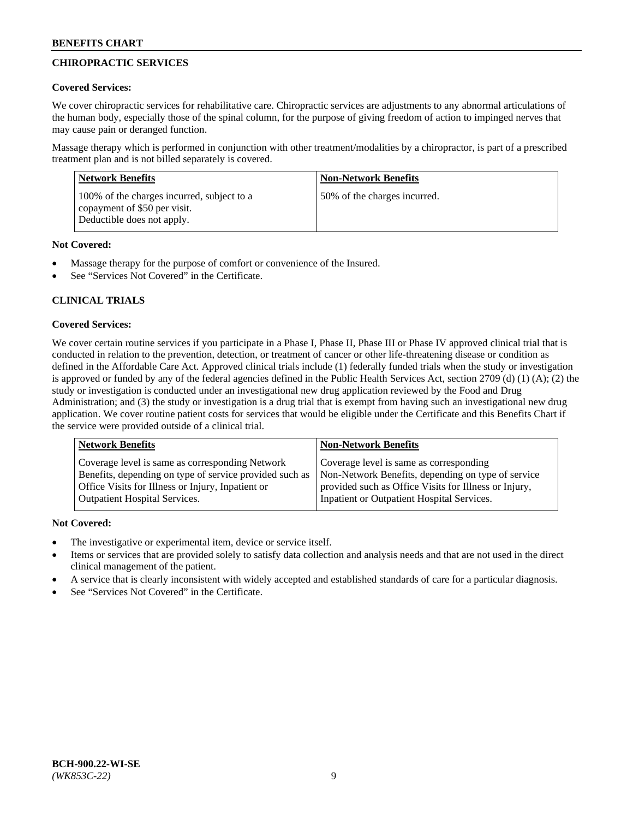# **CHIROPRACTIC SERVICES**

## **Covered Services:**

We cover chiropractic services for rehabilitative care. Chiropractic services are adjustments to any abnormal articulations of the human body, especially those of the spinal column, for the purpose of giving freedom of action to impinged nerves that may cause pain or deranged function.

Massage therapy which is performed in conjunction with other treatment/modalities by a chiropractor, is part of a prescribed treatment plan and is not billed separately is covered.

| <b>Network Benefits</b>                                                                                  | <b>Non-Network Benefits</b>  |
|----------------------------------------------------------------------------------------------------------|------------------------------|
| 100% of the charges incurred, subject to a<br>copayment of \$50 per visit.<br>Deductible does not apply. | 50% of the charges incurred. |

## **Not Covered:**

- Massage therapy for the purpose of comfort or convenience of the Insured.
- See "Services Not Covered" in the Certificate.

# **CLINICAL TRIALS**

## **Covered Services:**

We cover certain routine services if you participate in a Phase I, Phase II, Phase III or Phase IV approved clinical trial that is conducted in relation to the prevention, detection, or treatment of cancer or other life-threatening disease or condition as defined in the Affordable Care Act. Approved clinical trials include (1) federally funded trials when the study or investigation is approved or funded by any of the federal agencies defined in the Public Health Services Act, section 2709 (d) (1) (A); (2) the study or investigation is conducted under an investigational new drug application reviewed by the Food and Drug Administration; and (3) the study or investigation is a drug trial that is exempt from having such an investigational new drug application. We cover routine patient costs for services that would be eligible under the Certificate and this Benefits Chart if the service were provided outside of a clinical trial.

| Coverage level is same as corresponding Network                                                                                                                                                    | <b>Non-Network Benefits</b>                                                                                                                            |  |
|----------------------------------------------------------------------------------------------------------------------------------------------------------------------------------------------------|--------------------------------------------------------------------------------------------------------------------------------------------------------|--|
| Benefits, depending on type of service provided such as<br>Office Visits for Illness or Injury, Inpatient or<br>Inpatient or Outpatient Hospital Services.<br><b>Outpatient Hospital Services.</b> | Coverage level is same as corresponding<br>Non-Network Benefits, depending on type of service<br>provided such as Office Visits for Illness or Injury, |  |

## **Not Covered:**

- The investigative or experimental item, device or service itself.
- Items or services that are provided solely to satisfy data collection and analysis needs and that are not used in the direct clinical management of the patient.
- A service that is clearly inconsistent with widely accepted and established standards of care for a particular diagnosis.
- See "Services Not Covered" in the Certificate.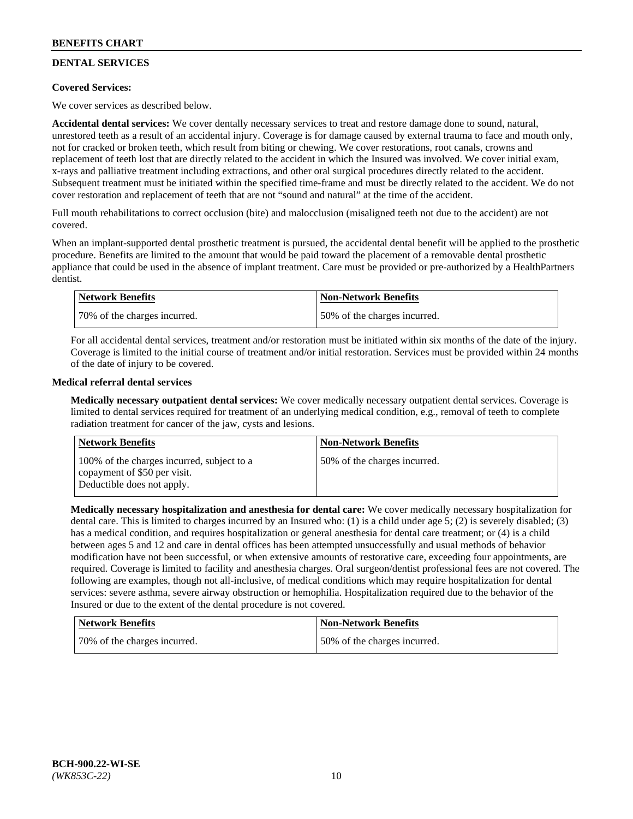# **DENTAL SERVICES**

## **Covered Services:**

We cover services as described below.

**Accidental dental services:** We cover dentally necessary services to treat and restore damage done to sound, natural, unrestored teeth as a result of an accidental injury. Coverage is for damage caused by external trauma to face and mouth only, not for cracked or broken teeth, which result from biting or chewing. We cover restorations, root canals, crowns and replacement of teeth lost that are directly related to the accident in which the Insured was involved. We cover initial exam, x-rays and palliative treatment including extractions, and other oral surgical procedures directly related to the accident. Subsequent treatment must be initiated within the specified time-frame and must be directly related to the accident. We do not cover restoration and replacement of teeth that are not "sound and natural" at the time of the accident.

Full mouth rehabilitations to correct occlusion (bite) and malocclusion (misaligned teeth not due to the accident) are not covered.

When an implant-supported dental prosthetic treatment is pursued, the accidental dental benefit will be applied to the prosthetic procedure. Benefits are limited to the amount that would be paid toward the placement of a removable dental prosthetic appliance that could be used in the absence of implant treatment. Care must be provided or pre-authorized by a HealthPartners dentist.

| Network Benefits             | <b>Non-Network Benefits</b>  |
|------------------------------|------------------------------|
| 70% of the charges incurred. | 50% of the charges incurred. |

For all accidental dental services, treatment and/or restoration must be initiated within six months of the date of the injury. Coverage is limited to the initial course of treatment and/or initial restoration. Services must be provided within 24 months of the date of injury to be covered.

## **Medical referral dental services**

**Medically necessary outpatient dental services:** We cover medically necessary outpatient dental services. Coverage is limited to dental services required for treatment of an underlying medical condition, e.g., removal of teeth to complete radiation treatment for cancer of the jaw, cysts and lesions.

| <b>Network Benefits</b>                                                                                  | <b>Non-Network Benefits</b>  |
|----------------------------------------------------------------------------------------------------------|------------------------------|
| 100% of the charges incurred, subject to a<br>copayment of \$50 per visit.<br>Deductible does not apply. | 50% of the charges incurred. |

**Medically necessary hospitalization and anesthesia for dental care:** We cover medically necessary hospitalization for dental care. This is limited to charges incurred by an Insured who: (1) is a child under age 5; (2) is severely disabled; (3) has a medical condition, and requires hospitalization or general anesthesia for dental care treatment; or (4) is a child between ages 5 and 12 and care in dental offices has been attempted unsuccessfully and usual methods of behavior modification have not been successful, or when extensive amounts of restorative care, exceeding four appointments, are required. Coverage is limited to facility and anesthesia charges. Oral surgeon/dentist professional fees are not covered. The following are examples, though not all-inclusive, of medical conditions which may require hospitalization for dental services: severe asthma, severe airway obstruction or hemophilia. Hospitalization required due to the behavior of the Insured or due to the extent of the dental procedure is not covered.

| <b>Network Benefits</b>      | <b>Non-Network Benefits</b>  |
|------------------------------|------------------------------|
| 70% of the charges incurred. | 50% of the charges incurred. |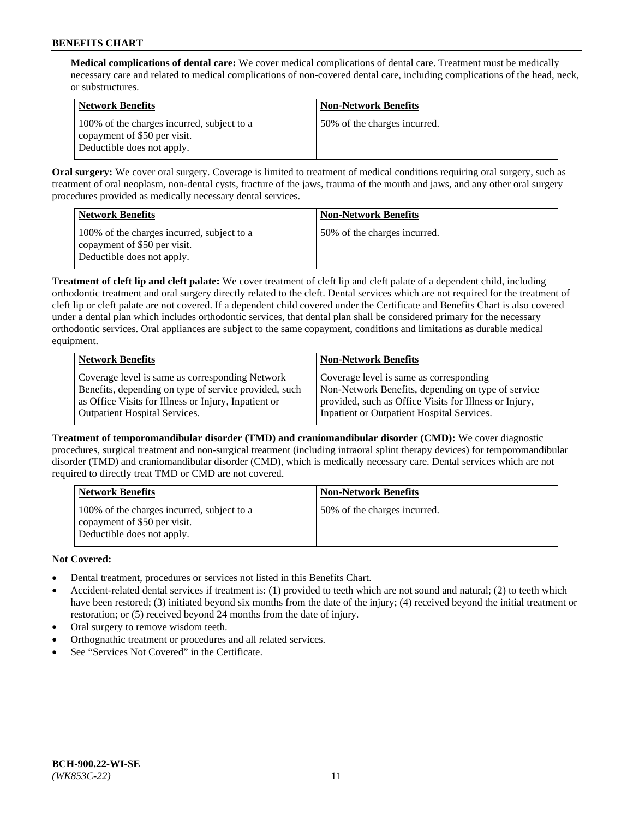**Medical complications of dental care:** We cover medical complications of dental care. Treatment must be medically necessary care and related to medical complications of non-covered dental care, including complications of the head, neck, or substructures.

| Network Benefits                                                                                         | <b>Non-Network Benefits</b>  |
|----------------------------------------------------------------------------------------------------------|------------------------------|
| 100% of the charges incurred, subject to a<br>copayment of \$50 per visit.<br>Deductible does not apply. | 50% of the charges incurred. |

**Oral surgery:** We cover oral surgery. Coverage is limited to treatment of medical conditions requiring oral surgery, such as treatment of oral neoplasm, non-dental cysts, fracture of the jaws, trauma of the mouth and jaws, and any other oral surgery procedures provided as medically necessary dental services.

| <b>Network Benefits</b>                                                                                  | <b>Non-Network Benefits</b>  |
|----------------------------------------------------------------------------------------------------------|------------------------------|
| 100% of the charges incurred, subject to a<br>copayment of \$50 per visit.<br>Deductible does not apply. | 50% of the charges incurred. |

**Treatment of cleft lip and cleft palate:** We cover treatment of cleft lip and cleft palate of a dependent child, including orthodontic treatment and oral surgery directly related to the cleft. Dental services which are not required for the treatment of cleft lip or cleft palate are not covered. If a dependent child covered under the Certificate and Benefits Chart is also covered under a dental plan which includes orthodontic services, that dental plan shall be considered primary for the necessary orthodontic services. Oral appliances are subject to the same copayment, conditions and limitations as durable medical equipment.

| <b>Network Benefits</b>                               | <b>Non-Network Benefits</b>                            |
|-------------------------------------------------------|--------------------------------------------------------|
| Coverage level is same as corresponding Network       | Coverage level is same as corresponding                |
| Benefits, depending on type of service provided, such | Non-Network Benefits, depending on type of service     |
| as Office Visits for Illness or Injury, Inpatient or  | provided, such as Office Visits for Illness or Injury, |
| <b>Outpatient Hospital Services.</b>                  | Inpatient or Outpatient Hospital Services.             |

**Treatment of temporomandibular disorder (TMD) and craniomandibular disorder (CMD):** We cover diagnostic procedures, surgical treatment and non-surgical treatment (including intraoral splint therapy devices) for temporomandibular disorder (TMD) and craniomandibular disorder (CMD), which is medically necessary care. Dental services which are not required to directly treat TMD or CMD are not covered.

| <b>Network Benefits</b>                                                                                  | <b>Non-Network Benefits</b>  |
|----------------------------------------------------------------------------------------------------------|------------------------------|
| 100% of the charges incurred, subject to a<br>copayment of \$50 per visit.<br>Deductible does not apply. | 50% of the charges incurred. |

# **Not Covered:**

- Dental treatment, procedures or services not listed in this Benefits Chart.
- Accident-related dental services if treatment is: (1) provided to teeth which are not sound and natural; (2) to teeth which have been restored; (3) initiated beyond six months from the date of the injury; (4) received beyond the initial treatment or restoration; or (5) received beyond 24 months from the date of injury.
- Oral surgery to remove wisdom teeth.
- Orthognathic treatment or procedures and all related services.
- See "Services Not Covered" in the Certificate.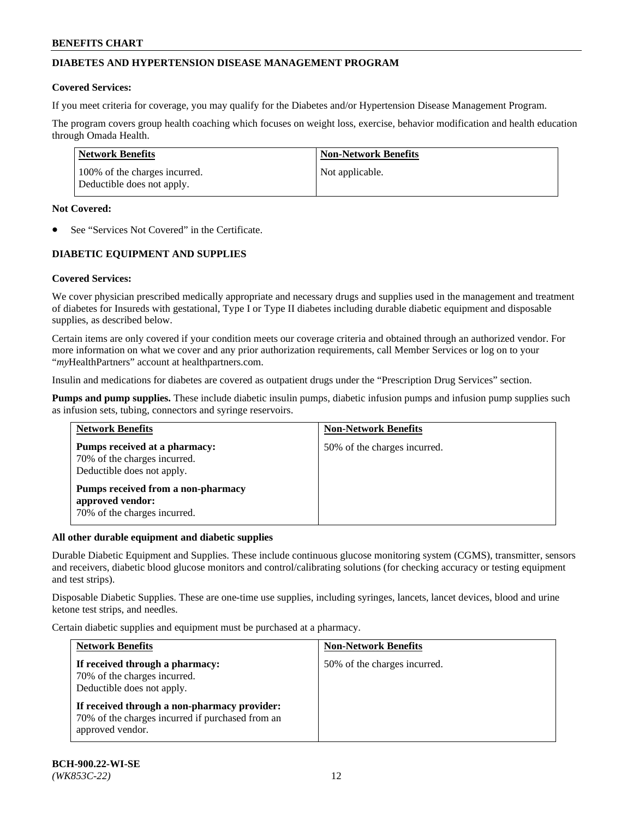## **DIABETES AND HYPERTENSION DISEASE MANAGEMENT PROGRAM**

### **Covered Services:**

If you meet criteria for coverage, you may qualify for the Diabetes and/or Hypertension Disease Management Program.

The program covers group health coaching which focuses on weight loss, exercise, behavior modification and health education through Omada Health.

| <b>Network Benefits</b>                                     | <b>Non-Network Benefits</b> |
|-------------------------------------------------------------|-----------------------------|
| 100% of the charges incurred.<br>Deductible does not apply. | Not applicable.             |

### **Not Covered:**

See "Services Not Covered" in the Certificate.

## **DIABETIC EQUIPMENT AND SUPPLIES**

## **Covered Services:**

We cover physician prescribed medically appropriate and necessary drugs and supplies used in the management and treatment of diabetes for Insureds with gestational, Type I or Type II diabetes including durable diabetic equipment and disposable supplies, as described below.

Certain items are only covered if your condition meets our coverage criteria and obtained through an authorized vendor. For more information on what we cover and any prior authorization requirements, call Member Services or log on to your "*my*HealthPartners" account at [healthpartners.com.](http://www.healthpartners.com/)

Insulin and medications for diabetes are covered as outpatient drugs under the "Prescription Drug Services" section.

**Pumps and pump supplies.** These include diabetic insulin pumps, diabetic infusion pumps and infusion pump supplies such as infusion sets, tubing, connectors and syringe reservoirs.

| <b>Network Benefits</b>                                                                     | <b>Non-Network Benefits</b>  |
|---------------------------------------------------------------------------------------------|------------------------------|
| Pumps received at a pharmacy:<br>70% of the charges incurred.<br>Deductible does not apply. | 50% of the charges incurred. |
| Pumps received from a non-pharmacy<br>approved vendor:<br>70% of the charges incurred.      |                              |

#### **All other durable equipment and diabetic supplies**

Durable Diabetic Equipment and Supplies. These include continuous glucose monitoring system (CGMS), transmitter, sensors and receivers, diabetic blood glucose monitors and control/calibrating solutions (for checking accuracy or testing equipment and test strips).

Disposable Diabetic Supplies. These are one-time use supplies, including syringes, lancets, lancet devices, blood and urine ketone test strips, and needles.

Certain diabetic supplies and equipment must be purchased at a pharmacy.

| <b>Network Benefits</b>                                                                                              | <b>Non-Network Benefits</b>  |  |
|----------------------------------------------------------------------------------------------------------------------|------------------------------|--|
| If received through a pharmacy:<br>70% of the charges incurred.<br>Deductible does not apply.                        | 50% of the charges incurred. |  |
| If received through a non-pharmacy provider:<br>70% of the charges incurred if purchased from an<br>approved vendor. |                              |  |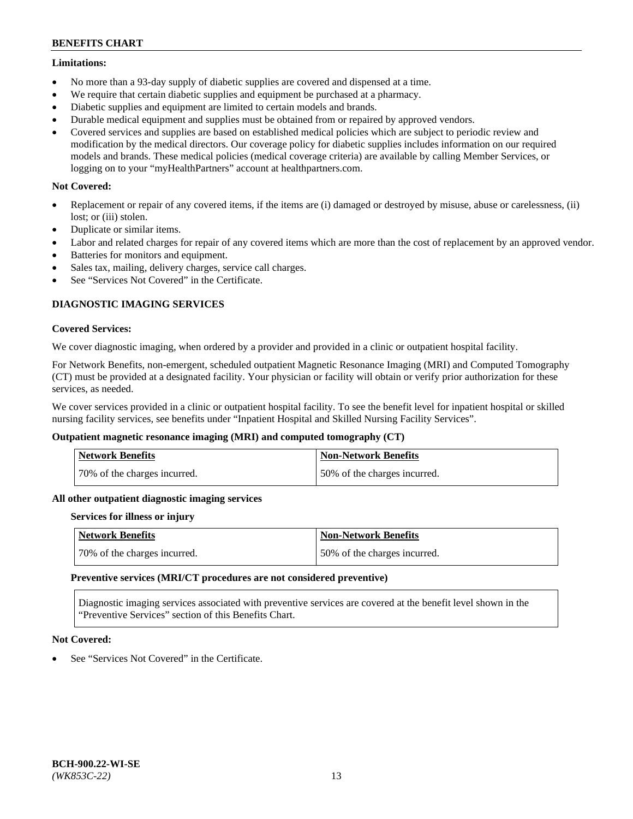### **Limitations:**

- No more than a 93-day supply of diabetic supplies are covered and dispensed at a time.
- We require that certain diabetic supplies and equipment be purchased at a pharmacy.
- Diabetic supplies and equipment are limited to certain models and brands.
- Durable medical equipment and supplies must be obtained from or repaired by approved vendors.
- Covered services and supplies are based on established medical policies which are subject to periodic review and modification by the medical directors. Our coverage policy for diabetic supplies includes information on our required models and brands. These medical policies (medical coverage criteria) are available by calling Member Services, or logging on to your "myHealthPartners" account at [healthpartners.com.](http://www.healthpartners.com/)

## **Not Covered:**

- Replacement or repair of any covered items, if the items are (i) damaged or destroyed by misuse, abuse or carelessness, (ii) lost; or (iii) stolen.
- Duplicate or similar items.
- Labor and related charges for repair of any covered items which are more than the cost of replacement by an approved vendor.
- Batteries for monitors and equipment.
- Sales tax, mailing, delivery charges, service call charges.
- See "Services Not Covered" in the Certificate.

## **DIAGNOSTIC IMAGING SERVICES**

### **Covered Services:**

We cover diagnostic imaging, when ordered by a provider and provided in a clinic or outpatient hospital facility.

For Network Benefits, non-emergent, scheduled outpatient Magnetic Resonance Imaging (MRI) and Computed Tomography (CT) must be provided at a designated facility. Your physician or facility will obtain or verify prior authorization for these services, as needed.

We cover services provided in a clinic or outpatient hospital facility. To see the benefit level for inpatient hospital or skilled nursing facility services, see benefits under "Inpatient Hospital and Skilled Nursing Facility Services".

## **Outpatient magnetic resonance imaging (MRI) and computed tomography (CT)**

| <b>Network Benefits</b>      | <b>Non-Network Benefits</b>  |
|------------------------------|------------------------------|
| 70% of the charges incurred. | 50% of the charges incurred. |

#### **All other outpatient diagnostic imaging services**

#### **Services for illness or injury**

| <b>Network Benefits</b>      | Non-Network Benefits         |
|------------------------------|------------------------------|
| 70% of the charges incurred. | 50% of the charges incurred. |

#### **Preventive services (MRI/CT procedures are not considered preventive)**

Diagnostic imaging services associated with preventive services are covered at the benefit level shown in the "Preventive Services" section of this Benefits Chart.

## **Not Covered:**

See "Services Not Covered" in the Certificate.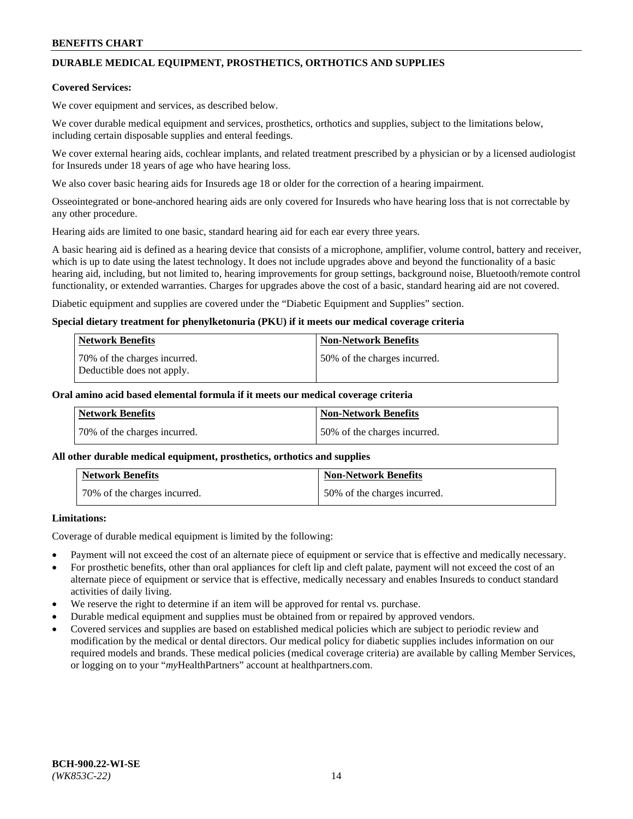# **DURABLE MEDICAL EQUIPMENT, PROSTHETICS, ORTHOTICS AND SUPPLIES**

### **Covered Services:**

We cover equipment and services, as described below.

We cover durable medical equipment and services, prosthetics, orthotics and supplies, subject to the limitations below, including certain disposable supplies and enteral feedings.

We cover external hearing aids, cochlear implants, and related treatment prescribed by a physician or by a licensed audiologist for Insureds under 18 years of age who have hearing loss.

We also cover basic hearing aids for Insureds age 18 or older for the correction of a hearing impairment.

Osseointegrated or bone-anchored hearing aids are only covered for Insureds who have hearing loss that is not correctable by any other procedure.

Hearing aids are limited to one basic, standard hearing aid for each ear every three years.

A basic hearing aid is defined as a hearing device that consists of a microphone, amplifier, volume control, battery and receiver, which is up to date using the latest technology. It does not include upgrades above and beyond the functionality of a basic hearing aid, including, but not limited to, hearing improvements for group settings, background noise, Bluetooth/remote control functionality, or extended warranties. Charges for upgrades above the cost of a basic, standard hearing aid are not covered.

Diabetic equipment and supplies are covered under the "Diabetic Equipment and Supplies" section.

### **Special dietary treatment for phenylketonuria (PKU) if it meets our medical coverage criteria**

| <b>Network Benefits</b>                                    | <b>Non-Network Benefits</b>  |
|------------------------------------------------------------|------------------------------|
| 70% of the charges incurred.<br>Deductible does not apply. | 50% of the charges incurred. |

### **Oral amino acid based elemental formula if it meets our medical coverage criteria**

| Network Benefits             | <b>Non-Network Benefits</b>  |
|------------------------------|------------------------------|
| 70% of the charges incurred. | 50% of the charges incurred. |

#### **All other durable medical equipment, prosthetics, orthotics and supplies**

| <b>Network Benefits</b>      | <b>Non-Network Benefits</b>  |
|------------------------------|------------------------------|
| 70% of the charges incurred. | 50% of the charges incurred. |

## **Limitations:**

Coverage of durable medical equipment is limited by the following:

- Payment will not exceed the cost of an alternate piece of equipment or service that is effective and medically necessary.
- For prosthetic benefits, other than oral appliances for cleft lip and cleft palate, payment will not exceed the cost of an alternate piece of equipment or service that is effective, medically necessary and enables Insureds to conduct standard activities of daily living.
- We reserve the right to determine if an item will be approved for rental vs. purchase.
- Durable medical equipment and supplies must be obtained from or repaired by approved vendors.
- Covered services and supplies are based on established medical policies which are subject to periodic review and modification by the medical or dental directors. Our medical policy for diabetic supplies includes information on our required models and brands. These medical policies (medical coverage criteria) are available by calling Member Services, or logging on to your "*my*HealthPartners" account a[t healthpartners.com.](http://www.healthpartners.com/)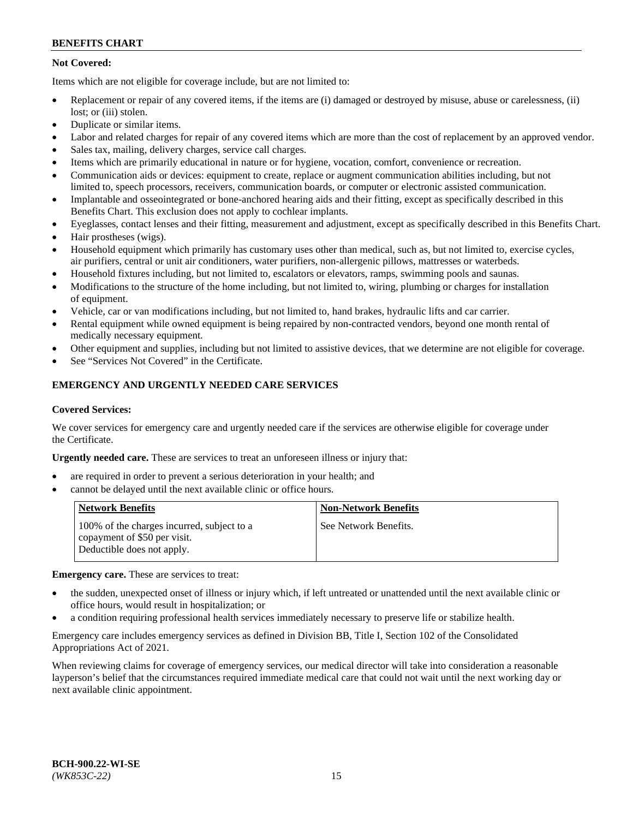## **Not Covered:**

Items which are not eligible for coverage include, but are not limited to:

- Replacement or repair of any covered items, if the items are (i) damaged or destroyed by misuse, abuse or carelessness, (ii) lost; or (iii) stolen.
- Duplicate or similar items.
- Labor and related charges for repair of any covered items which are more than the cost of replacement by an approved vendor.
- Sales tax, mailing, delivery charges, service call charges.
- Items which are primarily educational in nature or for hygiene, vocation, comfort, convenience or recreation.
- Communication aids or devices: equipment to create, replace or augment communication abilities including, but not limited to, speech processors, receivers, communication boards, or computer or electronic assisted communication.
- Implantable and osseointegrated or bone-anchored hearing aids and their fitting, except as specifically described in this Benefits Chart. This exclusion does not apply to cochlear implants.
- Eyeglasses, contact lenses and their fitting, measurement and adjustment, except as specifically described in this Benefits Chart.
- Hair prostheses (wigs).
- Household equipment which primarily has customary uses other than medical, such as, but not limited to, exercise cycles, air purifiers, central or unit air conditioners, water purifiers, non-allergenic pillows, mattresses or waterbeds.
- Household fixtures including, but not limited to, escalators or elevators, ramps, swimming pools and saunas.
- Modifications to the structure of the home including, but not limited to, wiring, plumbing or charges for installation of equipment.
- Vehicle, car or van modifications including, but not limited to, hand brakes, hydraulic lifts and car carrier.
- Rental equipment while owned equipment is being repaired by non-contracted vendors, beyond one month rental of medically necessary equipment.
- Other equipment and supplies, including but not limited to assistive devices, that we determine are not eligible for coverage.
- See "Services Not Covered" in the Certificate.

## **EMERGENCY AND URGENTLY NEEDED CARE SERVICES**

#### **Covered Services:**

We cover services for emergency care and urgently needed care if the services are otherwise eligible for coverage under the Certificate.

**Urgently needed care.** These are services to treat an unforeseen illness or injury that:

- are required in order to prevent a serious deterioration in your health; and
- cannot be delayed until the next available clinic or office hours.

| <b>Network Benefits</b>                                                                                  | <b>Non-Network Benefits</b> |
|----------------------------------------------------------------------------------------------------------|-----------------------------|
| 100% of the charges incurred, subject to a<br>copayment of \$50 per visit.<br>Deductible does not apply. | See Network Benefits.       |

**Emergency care.** These are services to treat:

- the sudden, unexpected onset of illness or injury which, if left untreated or unattended until the next available clinic or office hours, would result in hospitalization; or
- a condition requiring professional health services immediately necessary to preserve life or stabilize health.

Emergency care includes emergency services as defined in Division BB, Title I, Section 102 of the Consolidated Appropriations Act of 2021.

When reviewing claims for coverage of emergency services, our medical director will take into consideration a reasonable layperson's belief that the circumstances required immediate medical care that could not wait until the next working day or next available clinic appointment.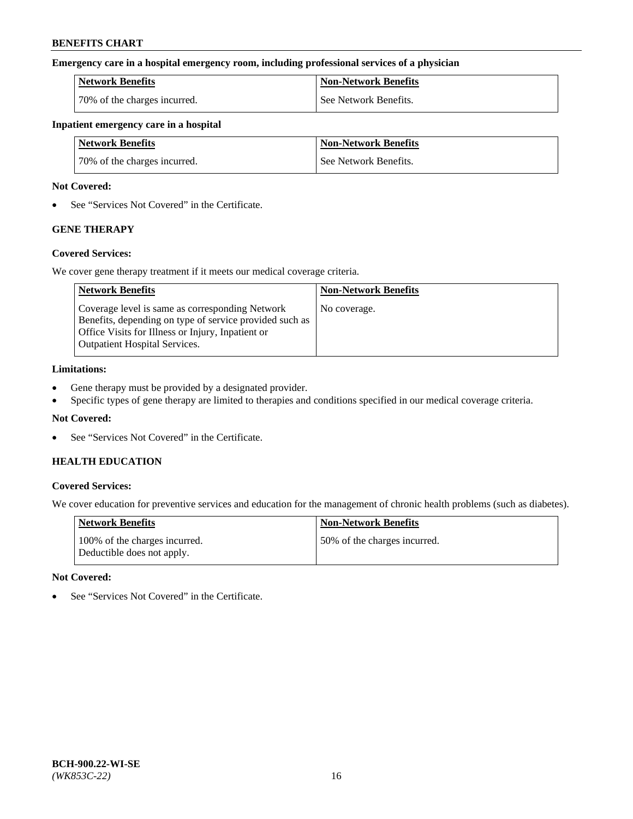### **Emergency care in a hospital emergency room, including professional services of a physician**

| <b>Network Benefits</b>      | <b>Non-Network Benefits</b> |
|------------------------------|-----------------------------|
| 70% of the charges incurred. | See Network Benefits.       |

### **Inpatient emergency care in a hospital**

| <b>Network Benefits</b>      | <b>Non-Network Benefits</b> |
|------------------------------|-----------------------------|
| 70% of the charges incurred. | See Network Benefits.       |

### **Not Covered:**

• See "Services Not Covered" in the Certificate.

## **GENE THERAPY**

## **Covered Services:**

We cover gene therapy treatment if it meets our medical coverage criteria.

| <b>Network Benefits</b>                                                                                                                                                                                 | <b>Non-Network Benefits</b> |
|---------------------------------------------------------------------------------------------------------------------------------------------------------------------------------------------------------|-----------------------------|
| Coverage level is same as corresponding Network<br>Benefits, depending on type of service provided such as<br>Office Visits for Illness or Injury, Inpatient or<br><b>Outpatient Hospital Services.</b> | No coverage.                |

### **Limitations:**

- Gene therapy must be provided by a designated provider.
- Specific types of gene therapy are limited to therapies and conditions specified in our medical coverage criteria.

## **Not Covered:**

• See "Services Not Covered" in the Certificate.

## **HEALTH EDUCATION**

## **Covered Services:**

We cover education for preventive services and education for the management of chronic health problems (such as diabetes).

| <b>Network Benefits</b>                                     | <b>Non-Network Benefits</b>  |
|-------------------------------------------------------------|------------------------------|
| 100% of the charges incurred.<br>Deductible does not apply. | 50% of the charges incurred. |

#### **Not Covered:**

• See "Services Not Covered" in the Certificate.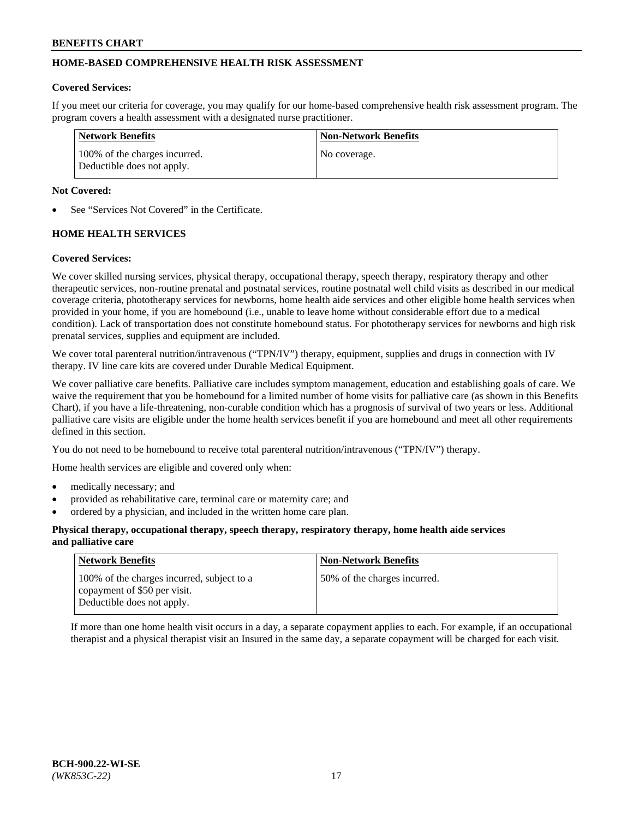## **HOME-BASED COMPREHENSIVE HEALTH RISK ASSESSMENT**

### **Covered Services:**

If you meet our criteria for coverage, you may qualify for our home-based comprehensive health risk assessment program. The program covers a health assessment with a designated nurse practitioner.

| Network Benefits                                            | <b>Non-Network Benefits</b> |
|-------------------------------------------------------------|-----------------------------|
| 100% of the charges incurred.<br>Deductible does not apply. | No coverage.                |

### **Not Covered:**

See "Services Not Covered" in the Certificate.

## **HOME HEALTH SERVICES**

### **Covered Services:**

We cover skilled nursing services, physical therapy, occupational therapy, speech therapy, respiratory therapy and other therapeutic services, non-routine prenatal and postnatal services, routine postnatal well child visits as described in our medical coverage criteria, phototherapy services for newborns, home health aide services and other eligible home health services when provided in your home, if you are homebound (i.e., unable to leave home without considerable effort due to a medical condition). Lack of transportation does not constitute homebound status. For phototherapy services for newborns and high risk prenatal services, supplies and equipment are included.

We cover total parenteral nutrition/intravenous ("TPN/IV") therapy, equipment, supplies and drugs in connection with IV therapy. IV line care kits are covered under Durable Medical Equipment.

We cover palliative care benefits. Palliative care includes symptom management, education and establishing goals of care. We waive the requirement that you be homebound for a limited number of home visits for palliative care (as shown in this Benefits Chart), if you have a life-threatening, non-curable condition which has a prognosis of survival of two years or less. Additional palliative care visits are eligible under the home health services benefit if you are homebound and meet all other requirements defined in this section.

You do not need to be homebound to receive total parenteral nutrition/intravenous ("TPN/IV") therapy.

Home health services are eligible and covered only when:

- medically necessary; and
- provided as rehabilitative care, terminal care or maternity care; and
- ordered by a physician, and included in the written home care plan.

#### **Physical therapy, occupational therapy, speech therapy, respiratory therapy, home health aide services and palliative care**

| <b>Network Benefits</b>                                                                                  | <b>Non-Network Benefits</b>  |
|----------------------------------------------------------------------------------------------------------|------------------------------|
| 100% of the charges incurred, subject to a<br>copayment of \$50 per visit.<br>Deductible does not apply. | 50% of the charges incurred. |

If more than one home health visit occurs in a day, a separate copayment applies to each. For example, if an occupational therapist and a physical therapist visit an Insured in the same day, a separate copayment will be charged for each visit.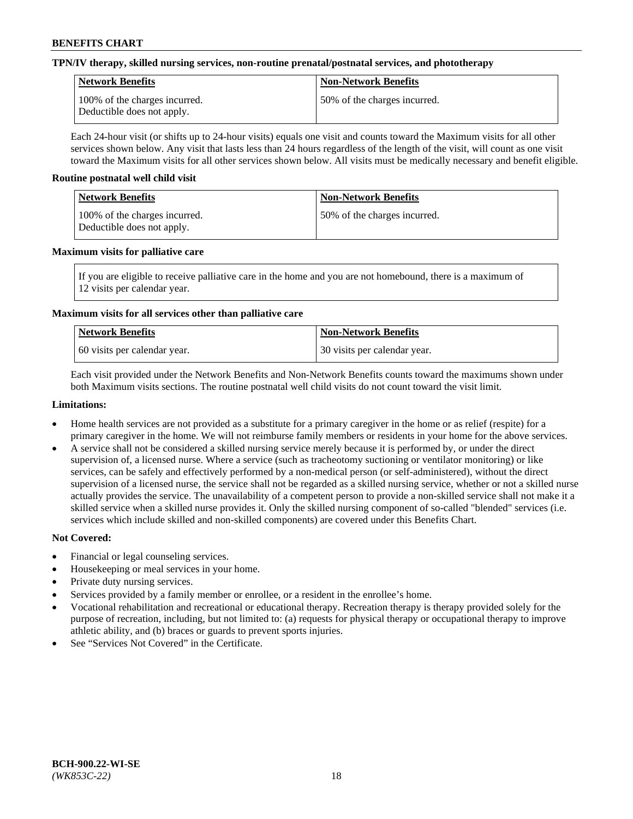## **TPN/IV therapy, skilled nursing services, non-routine prenatal/postnatal services, and phototherapy**

| Network Benefits                                            | <b>Non-Network Benefits</b>  |
|-------------------------------------------------------------|------------------------------|
| 100% of the charges incurred.<br>Deductible does not apply. | 50% of the charges incurred. |

Each 24-hour visit (or shifts up to 24-hour visits) equals one visit and counts toward the Maximum visits for all other services shown below. Any visit that lasts less than 24 hours regardless of the length of the visit, will count as one visit toward the Maximum visits for all other services shown below. All visits must be medically necessary and benefit eligible.

### **Routine postnatal well child visit**

| Network Benefits                                            | <b>Non-Network Benefits</b>  |
|-------------------------------------------------------------|------------------------------|
| 100% of the charges incurred.<br>Deductible does not apply. | 50% of the charges incurred. |

### **Maximum visits for palliative care**

If you are eligible to receive palliative care in the home and you are not homebound, there is a maximum of 12 visits per calendar year.

## **Maximum visits for all services other than palliative care**

| Network Benefits               | <b>Non-Network Benefits</b>  |
|--------------------------------|------------------------------|
| 1.60 visits per calendar year. | 30 visits per calendar year. |

Each visit provided under the Network Benefits and Non-Network Benefits counts toward the maximums shown under both Maximum visits sections. The routine postnatal well child visits do not count toward the visit limit.

### **Limitations:**

- Home health services are not provided as a substitute for a primary caregiver in the home or as relief (respite) for a primary caregiver in the home. We will not reimburse family members or residents in your home for the above services.
- A service shall not be considered a skilled nursing service merely because it is performed by, or under the direct supervision of, a licensed nurse. Where a service (such as tracheotomy suctioning or ventilator monitoring) or like services, can be safely and effectively performed by a non-medical person (or self-administered), without the direct supervision of a licensed nurse, the service shall not be regarded as a skilled nursing service, whether or not a skilled nurse actually provides the service. The unavailability of a competent person to provide a non-skilled service shall not make it a skilled service when a skilled nurse provides it. Only the skilled nursing component of so-called "blended" services (i.e. services which include skilled and non-skilled components) are covered under this Benefits Chart.

## **Not Covered:**

- Financial or legal counseling services.
- Housekeeping or meal services in your home.
- Private duty nursing services.
- Services provided by a family member or enrollee, or a resident in the enrollee's home.
- Vocational rehabilitation and recreational or educational therapy. Recreation therapy is therapy provided solely for the purpose of recreation, including, but not limited to: (a) requests for physical therapy or occupational therapy to improve athletic ability, and (b) braces or guards to prevent sports injuries.
- See "Services Not Covered" in the Certificate.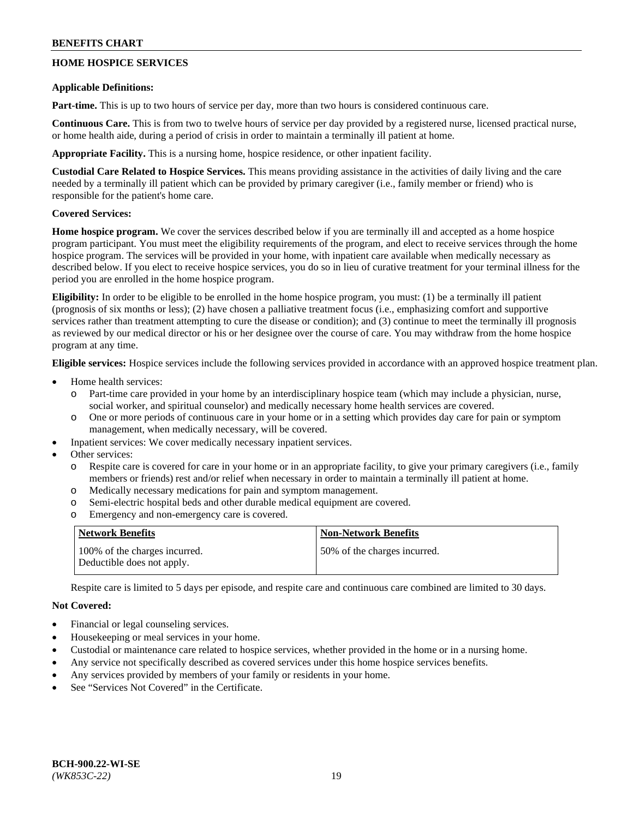## **HOME HOSPICE SERVICES**

### **Applicable Definitions:**

**Part-time.** This is up to two hours of service per day, more than two hours is considered continuous care.

**Continuous Care.** This is from two to twelve hours of service per day provided by a registered nurse, licensed practical nurse, or home health aide, during a period of crisis in order to maintain a terminally ill patient at home.

**Appropriate Facility.** This is a nursing home, hospice residence, or other inpatient facility.

**Custodial Care Related to Hospice Services.** This means providing assistance in the activities of daily living and the care needed by a terminally ill patient which can be provided by primary caregiver (i.e., family member or friend) who is responsible for the patient's home care.

## **Covered Services:**

**Home hospice program.** We cover the services described below if you are terminally ill and accepted as a home hospice program participant. You must meet the eligibility requirements of the program, and elect to receive services through the home hospice program. The services will be provided in your home, with inpatient care available when medically necessary as described below. If you elect to receive hospice services, you do so in lieu of curative treatment for your terminal illness for the period you are enrolled in the home hospice program.

**Eligibility:** In order to be eligible to be enrolled in the home hospice program, you must: (1) be a terminally ill patient (prognosis of six months or less); (2) have chosen a palliative treatment focus (i.e., emphasizing comfort and supportive services rather than treatment attempting to cure the disease or condition); and (3) continue to meet the terminally ill prognosis as reviewed by our medical director or his or her designee over the course of care. You may withdraw from the home hospice program at any time.

**Eligible services:** Hospice services include the following services provided in accordance with an approved hospice treatment plan.

- Home health services:
	- Part-time care provided in your home by an interdisciplinary hospice team (which may include a physician, nurse, social worker, and spiritual counselor) and medically necessary home health services are covered.
	- o One or more periods of continuous care in your home or in a setting which provides day care for pain or symptom management, when medically necessary, will be covered.
	- Inpatient services: We cover medically necessary inpatient services.
- Other services:
	- Respite care is covered for care in your home or in an appropriate facility, to give your primary caregivers (i.e., family members or friends) rest and/or relief when necessary in order to maintain a terminally ill patient at home.
	- o Medically necessary medications for pain and symptom management.
	- o Semi-electric hospital beds and other durable medical equipment are covered.
	- o Emergency and non-emergency care is covered.

| Network Benefits                                            | <b>Non-Network Benefits</b>  |
|-------------------------------------------------------------|------------------------------|
| 100% of the charges incurred.<br>Deductible does not apply. | 50% of the charges incurred. |

Respite care is limited to 5 days per episode, and respite care and continuous care combined are limited to 30 days.

## **Not Covered:**

- Financial or legal counseling services.
- Housekeeping or meal services in your home.
- Custodial or maintenance care related to hospice services, whether provided in the home or in a nursing home.
- Any service not specifically described as covered services under this home hospice services benefits.
- Any services provided by members of your family or residents in your home.
- See "Services Not Covered" in the Certificate.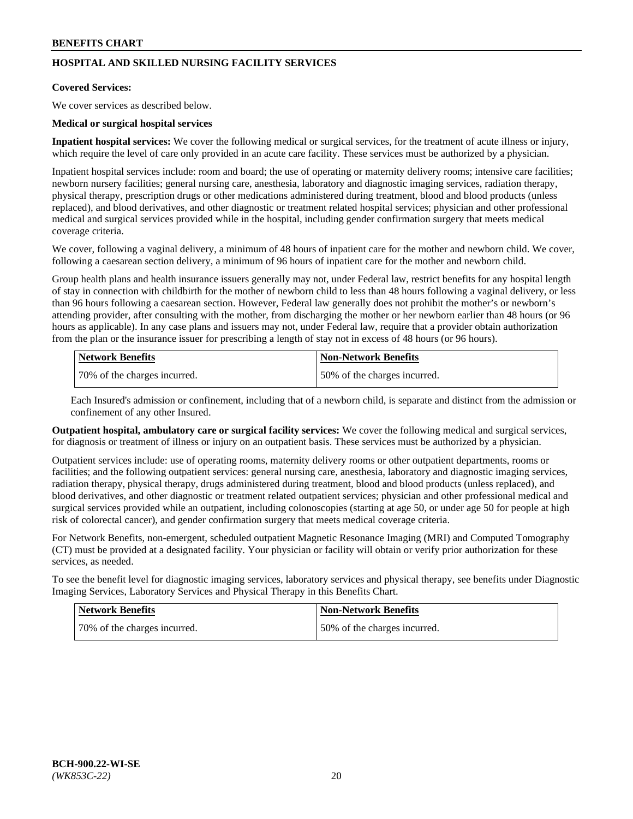## **HOSPITAL AND SKILLED NURSING FACILITY SERVICES**

#### **Covered Services:**

We cover services as described below.

### **Medical or surgical hospital services**

**Inpatient hospital services:** We cover the following medical or surgical services, for the treatment of acute illness or injury, which require the level of care only provided in an acute care facility. These services must be authorized by a physician.

Inpatient hospital services include: room and board; the use of operating or maternity delivery rooms; intensive care facilities; newborn nursery facilities; general nursing care, anesthesia, laboratory and diagnostic imaging services, radiation therapy, physical therapy, prescription drugs or other medications administered during treatment, blood and blood products (unless replaced), and blood derivatives, and other diagnostic or treatment related hospital services; physician and other professional medical and surgical services provided while in the hospital, including gender confirmation surgery that meets medical coverage criteria.

We cover, following a vaginal delivery, a minimum of 48 hours of inpatient care for the mother and newborn child. We cover, following a caesarean section delivery, a minimum of 96 hours of inpatient care for the mother and newborn child.

Group health plans and health insurance issuers generally may not, under Federal law, restrict benefits for any hospital length of stay in connection with childbirth for the mother of newborn child to less than 48 hours following a vaginal delivery, or less than 96 hours following a caesarean section. However, Federal law generally does not prohibit the mother's or newborn's attending provider, after consulting with the mother, from discharging the mother or her newborn earlier than 48 hours (or 96 hours as applicable). In any case plans and issuers may not, under Federal law, require that a provider obtain authorization from the plan or the insurance issuer for prescribing a length of stay not in excess of 48 hours (or 96 hours).

| Network Benefits             | Non-Network Benefits         |
|------------------------------|------------------------------|
| 70% of the charges incurred. | 50% of the charges incurred. |

Each Insured's admission or confinement, including that of a newborn child, is separate and distinct from the admission or confinement of any other Insured.

**Outpatient hospital, ambulatory care or surgical facility services:** We cover the following medical and surgical services, for diagnosis or treatment of illness or injury on an outpatient basis. These services must be authorized by a physician.

Outpatient services include: use of operating rooms, maternity delivery rooms or other outpatient departments, rooms or facilities; and the following outpatient services: general nursing care, anesthesia, laboratory and diagnostic imaging services, radiation therapy, physical therapy, drugs administered during treatment, blood and blood products (unless replaced), and blood derivatives, and other diagnostic or treatment related outpatient services; physician and other professional medical and surgical services provided while an outpatient, including colonoscopies (starting at age 50, or under age 50 for people at high risk of colorectal cancer), and gender confirmation surgery that meets medical coverage criteria.

For Network Benefits, non-emergent, scheduled outpatient Magnetic Resonance Imaging (MRI) and Computed Tomography (CT) must be provided at a designated facility. Your physician or facility will obtain or verify prior authorization for these services, as needed.

To see the benefit level for diagnostic imaging services, laboratory services and physical therapy, see benefits under Diagnostic Imaging Services, Laboratory Services and Physical Therapy in this Benefits Chart.

| <b>Network Benefits</b>      | <b>Non-Network Benefits</b>   |
|------------------------------|-------------------------------|
| 70% of the charges incurred. | 150% of the charges incurred. |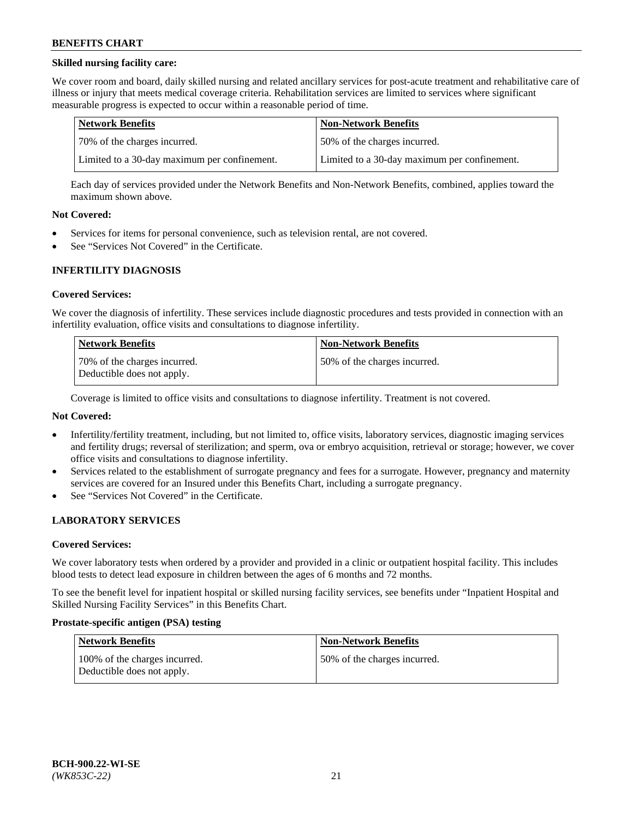## **Skilled nursing facility care:**

We cover room and board, daily skilled nursing and related ancillary services for post-acute treatment and rehabilitative care of illness or injury that meets medical coverage criteria. Rehabilitation services are limited to services where significant measurable progress is expected to occur within a reasonable period of time.

| Network Benefits                             | <b>Non-Network Benefits</b>                  |
|----------------------------------------------|----------------------------------------------|
| 170% of the charges incurred.                | 50% of the charges incurred.                 |
| Limited to a 30-day maximum per confinement. | Limited to a 30-day maximum per confinement. |

Each day of services provided under the Network Benefits and Non-Network Benefits, combined, applies toward the maximum shown above.

### **Not Covered:**

- Services for items for personal convenience, such as television rental, are not covered.
- See "Services Not Covered" in the Certificate.

### **INFERTILITY DIAGNOSIS**

#### **Covered Services:**

We cover the diagnosis of infertility. These services include diagnostic procedures and tests provided in connection with an infertility evaluation, office visits and consultations to diagnose infertility.

| Network Benefits                                           | <b>Non-Network Benefits</b>  |
|------------------------------------------------------------|------------------------------|
| 70% of the charges incurred.<br>Deductible does not apply. | 50% of the charges incurred. |

Coverage is limited to office visits and consultations to diagnose infertility. Treatment is not covered.

## **Not Covered:**

- Infertility/fertility treatment, including, but not limited to, office visits, laboratory services, diagnostic imaging services and fertility drugs; reversal of sterilization; and sperm, ova or embryo acquisition, retrieval or storage; however, we cover office visits and consultations to diagnose infertility.
- Services related to the establishment of surrogate pregnancy and fees for a surrogate. However, pregnancy and maternity services are covered for an Insured under this Benefits Chart, including a surrogate pregnancy.
- See "Services Not Covered" in the Certificate.

## **LABORATORY SERVICES**

#### **Covered Services:**

We cover laboratory tests when ordered by a provider and provided in a clinic or outpatient hospital facility. This includes blood tests to detect lead exposure in children between the ages of 6 months and 72 months.

To see the benefit level for inpatient hospital or skilled nursing facility services, see benefits under "Inpatient Hospital and Skilled Nursing Facility Services" in this Benefits Chart.

#### **Prostate-specific antigen (PSA) testing**

| <b>Network Benefits</b>                                     | <b>Non-Network Benefits</b>  |
|-------------------------------------------------------------|------------------------------|
| 100% of the charges incurred.<br>Deductible does not apply. | 50% of the charges incurred. |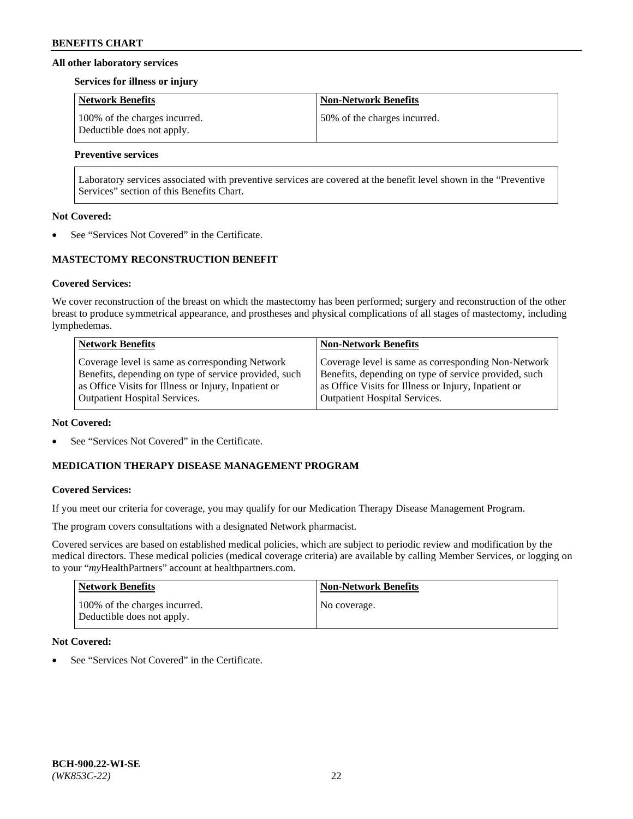### **All other laboratory services**

#### **Services for illness or injury**

| Network Benefits                                            | <b>Non-Network Benefits</b>  |
|-------------------------------------------------------------|------------------------------|
| 100% of the charges incurred.<br>Deductible does not apply. | 50% of the charges incurred. |

## **Preventive services**

Laboratory services associated with preventive services are covered at the benefit level shown in the "Preventive Services" section of this Benefits Chart.

### **Not Covered:**

See "Services Not Covered" in the Certificate.

## **MASTECTOMY RECONSTRUCTION BENEFIT**

### **Covered Services:**

We cover reconstruction of the breast on which the mastectomy has been performed; surgery and reconstruction of the other breast to produce symmetrical appearance, and prostheses and physical complications of all stages of mastectomy, including lymphedemas.

| <b>Network Benefits</b>                               | <b>Non-Network Benefits</b>                           |
|-------------------------------------------------------|-------------------------------------------------------|
| Coverage level is same as corresponding Network       | Coverage level is same as corresponding Non-Network   |
| Benefits, depending on type of service provided, such | Benefits, depending on type of service provided, such |
| as Office Visits for Illness or Injury, Inpatient or  | as Office Visits for Illness or Injury, Inpatient or  |
| <b>Outpatient Hospital Services.</b>                  | Outpatient Hospital Services.                         |

#### **Not Covered:**

See "Services Not Covered" in the Certificate.

## **MEDICATION THERAPY DISEASE MANAGEMENT PROGRAM**

## **Covered Services:**

If you meet our criteria for coverage, you may qualify for our Medication Therapy Disease Management Program.

The program covers consultations with a designated Network pharmacist.

Covered services are based on established medical policies, which are subject to periodic review and modification by the medical directors. These medical policies (medical coverage criteria) are available by calling Member Services, or logging on to your "*my*HealthPartners" account at [healthpartners.com.](http://www.healthpartners.com/)

| Network Benefits                                            | <b>Non-Network Benefits</b> |
|-------------------------------------------------------------|-----------------------------|
| 100% of the charges incurred.<br>Deductible does not apply. | No coverage.                |

## **Not Covered:**

See "Services Not Covered" in the Certificate.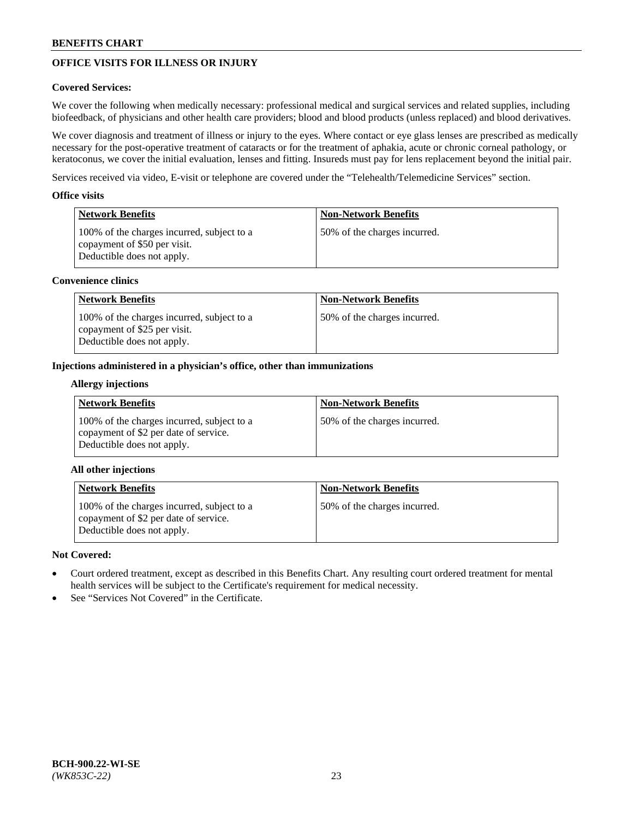# **OFFICE VISITS FOR ILLNESS OR INJURY**

## **Covered Services:**

We cover the following when medically necessary: professional medical and surgical services and related supplies, including biofeedback, of physicians and other health care providers; blood and blood products (unless replaced) and blood derivatives.

We cover diagnosis and treatment of illness or injury to the eyes. Where contact or eye glass lenses are prescribed as medically necessary for the post-operative treatment of cataracts or for the treatment of aphakia, acute or chronic corneal pathology, or keratoconus, we cover the initial evaluation, lenses and fitting. Insureds must pay for lens replacement beyond the initial pair.

Services received via video, E-visit or telephone are covered under the "Telehealth/Telemedicine Services" section.

### **Office visits**

| Network Benefits                                                                                         | <b>Non-Network Benefits</b>  |
|----------------------------------------------------------------------------------------------------------|------------------------------|
| 100% of the charges incurred, subject to a<br>copayment of \$50 per visit.<br>Deductible does not apply. | 50% of the charges incurred. |

### **Convenience clinics**

| <b>Network Benefits</b>                                                                                  | <b>Non-Network Benefits</b>  |
|----------------------------------------------------------------------------------------------------------|------------------------------|
| 100% of the charges incurred, subject to a<br>copayment of \$25 per visit.<br>Deductible does not apply. | 50% of the charges incurred. |

### **Injections administered in a physician's office, other than immunizations**

#### **Allergy injections**

| <b>Network Benefits</b>                                                                                           | <b>Non-Network Benefits</b>  |
|-------------------------------------------------------------------------------------------------------------------|------------------------------|
| 100% of the charges incurred, subject to a<br>copayment of \$2 per date of service.<br>Deductible does not apply. | 50% of the charges incurred. |

## **All other injections**

| <b>Network Benefits</b>                                                                                           | <b>Non-Network Benefits</b>  |
|-------------------------------------------------------------------------------------------------------------------|------------------------------|
| 100% of the charges incurred, subject to a<br>copayment of \$2 per date of service.<br>Deductible does not apply. | 50% of the charges incurred. |

## **Not Covered:**

- Court ordered treatment, except as described in this Benefits Chart. Any resulting court ordered treatment for mental health services will be subject to the Certificate's requirement for medical necessity.
- See "Services Not Covered" in the Certificate.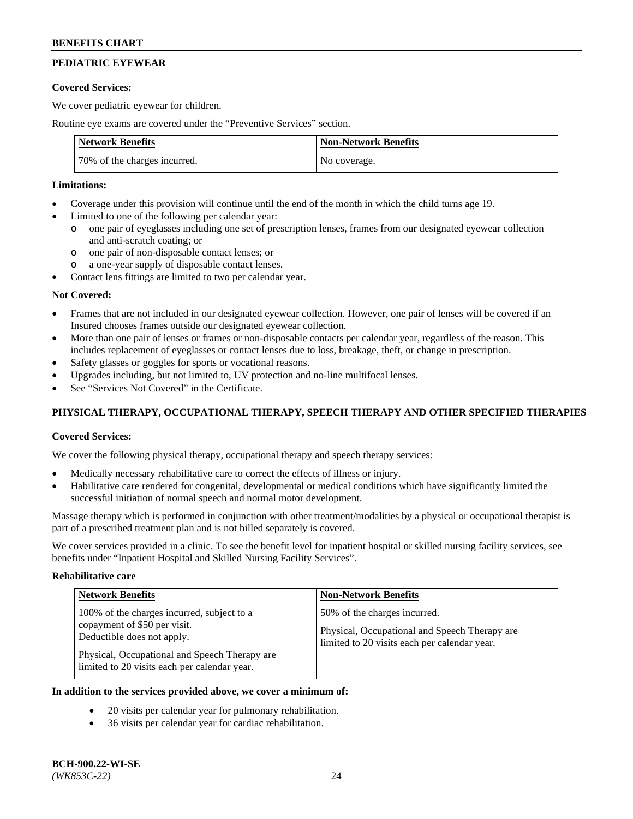# **PEDIATRIC EYEWEAR**

### **Covered Services:**

We cover pediatric eyewear for children.

Routine eye exams are covered under the "Preventive Services" section.

| <b>Network Benefits</b>      | <b>Non-Network Benefits</b> |
|------------------------------|-----------------------------|
| 70% of the charges incurred. | No coverage.                |

### **Limitations:**

- Coverage under this provision will continue until the end of the month in which the child turns age 19.
- Limited to one of the following per calendar year:
	- o one pair of eyeglasses including one set of prescription lenses, frames from our designated eyewear collection and anti-scratch coating; or
	- o one pair of non-disposable contact lenses; or
	- o a one-year supply of disposable contact lenses.
- Contact lens fittings are limited to two per calendar year.

## **Not Covered:**

- Frames that are not included in our designated eyewear collection. However, one pair of lenses will be covered if an Insured chooses frames outside our designated eyewear collection.
- More than one pair of lenses or frames or non-disposable contacts per calendar year, regardless of the reason. This includes replacement of eyeglasses or contact lenses due to loss, breakage, theft, or change in prescription.
- Safety glasses or goggles for sports or vocational reasons.
- Upgrades including, but not limited to, UV protection and no-line multifocal lenses.
- See "Services Not Covered" in the Certificate.

## **PHYSICAL THERAPY, OCCUPATIONAL THERAPY, SPEECH THERAPY AND OTHER SPECIFIED THERAPIES**

## **Covered Services:**

We cover the following physical therapy, occupational therapy and speech therapy services:

- Medically necessary rehabilitative care to correct the effects of illness or injury.
- Habilitative care rendered for congenital, developmental or medical conditions which have significantly limited the successful initiation of normal speech and normal motor development.

Massage therapy which is performed in conjunction with other treatment/modalities by a physical or occupational therapist is part of a prescribed treatment plan and is not billed separately is covered.

We cover services provided in a clinic. To see the benefit level for inpatient hospital or skilled nursing facility services, see benefits under "Inpatient Hospital and Skilled Nursing Facility Services".

#### **Rehabilitative care**

| <b>Network Benefits</b>                                                                                                                                                                                   | <b>Non-Network Benefits</b>                                                                                                   |
|-----------------------------------------------------------------------------------------------------------------------------------------------------------------------------------------------------------|-------------------------------------------------------------------------------------------------------------------------------|
| 100% of the charges incurred, subject to a<br>copayment of \$50 per visit.<br>Deductible does not apply.<br>Physical, Occupational and Speech Therapy are<br>limited to 20 visits each per calendar year. | 50% of the charges incurred.<br>Physical, Occupational and Speech Therapy are<br>limited to 20 visits each per calendar year. |

## **In addition to the services provided above, we cover a minimum of:**

- 20 visits per calendar year for pulmonary rehabilitation.
- 36 visits per calendar year for cardiac rehabilitation.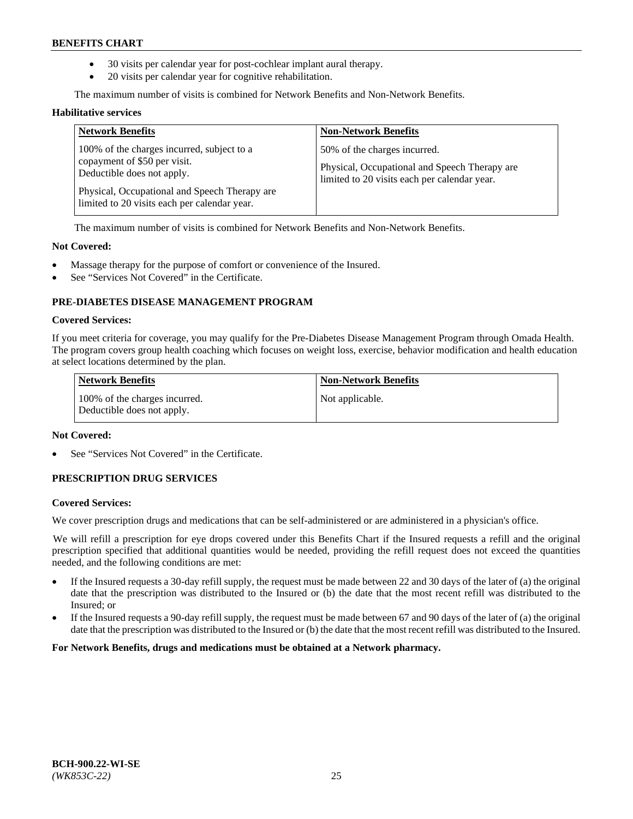- 30 visits per calendar year for post-cochlear implant aural therapy.
- 20 visits per calendar year for cognitive rehabilitation.

The maximum number of visits is combined for Network Benefits and Non-Network Benefits.

#### **Habilitative services**

| <b>Network Benefits</b>                                                                                                                                                                                   | <b>Non-Network Benefits</b>                                                                                                   |
|-----------------------------------------------------------------------------------------------------------------------------------------------------------------------------------------------------------|-------------------------------------------------------------------------------------------------------------------------------|
| 100% of the charges incurred, subject to a<br>copayment of \$50 per visit.<br>Deductible does not apply.<br>Physical, Occupational and Speech Therapy are<br>limited to 20 visits each per calendar year. | 50% of the charges incurred.<br>Physical, Occupational and Speech Therapy are<br>limited to 20 visits each per calendar year. |

The maximum number of visits is combined for Network Benefits and Non-Network Benefits.

### **Not Covered:**

- Massage therapy for the purpose of comfort or convenience of the Insured.
- See "Services Not Covered" in the Certificate.

## **PRE-DIABETES DISEASE MANAGEMENT PROGRAM**

#### **Covered Services:**

If you meet criteria for coverage, you may qualify for the Pre-Diabetes Disease Management Program through Omada Health. The program covers group health coaching which focuses on weight loss, exercise, behavior modification and health education at select locations determined by the plan.

| <b>Network Benefits</b>                                     | <b>Non-Network Benefits</b> |
|-------------------------------------------------------------|-----------------------------|
| 100% of the charges incurred.<br>Deductible does not apply. | Not applicable.             |

## **Not Covered:**

See "Services Not Covered" in the Certificate.

## **PRESCRIPTION DRUG SERVICES**

#### **Covered Services:**

We cover prescription drugs and medications that can be self-administered or are administered in a physician's office.

We will refill a prescription for eye drops covered under this Benefits Chart if the Insured requests a refill and the original prescription specified that additional quantities would be needed, providing the refill request does not exceed the quantities needed, and the following conditions are met:

- If the Insured requests a 30-day refill supply, the request must be made between 22 and 30 days of the later of (a) the original date that the prescription was distributed to the Insured or (b) the date that the most recent refill was distributed to the Insured; or
- If the Insured requests a 90-day refill supply, the request must be made between 67 and 90 days of the later of (a) the original date that the prescription was distributed to the Insured or (b) the date that the most recent refill was distributed to the Insured.

**For Network Benefits, drugs and medications must be obtained at a Network pharmacy.**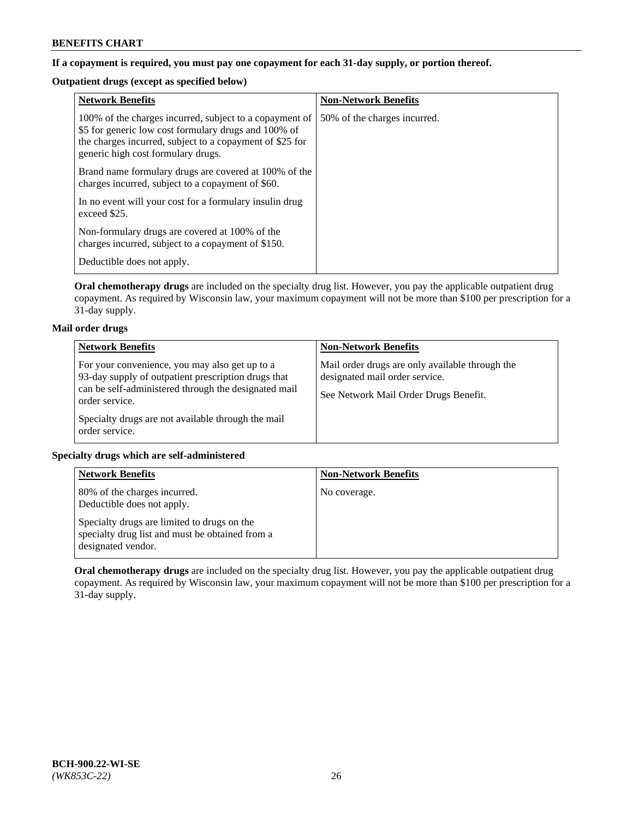## **If a copayment is required, you must pay one copayment for each 31-day supply, or portion thereof.**

# **Outpatient drugs (except as specified below)**

| <b>Network Benefits</b>                                                                                                                                                                                           | <b>Non-Network Benefits</b>  |
|-------------------------------------------------------------------------------------------------------------------------------------------------------------------------------------------------------------------|------------------------------|
| 100% of the charges incurred, subject to a copayment of<br>\$5 for generic low cost formulary drugs and 100% of<br>the charges incurred, subject to a copayment of \$25 for<br>generic high cost formulary drugs. | 50% of the charges incurred. |
| Brand name formulary drugs are covered at 100% of the<br>charges incurred, subject to a copayment of \$60.                                                                                                        |                              |
| In no event will your cost for a formulary insulin drug<br>exceed \$25.                                                                                                                                           |                              |
| Non-formulary drugs are covered at 100% of the<br>charges incurred, subject to a copayment of \$150.                                                                                                              |                              |
| Deductible does not apply.                                                                                                                                                                                        |                              |

**Oral chemotherapy drugs** are included on the specialty drug list. However, you pay the applicable outpatient drug copayment. As required by Wisconsin law, your maximum copayment will not be more than \$100 per prescription for a 31-day supply.

## **Mail order drugs**

| <b>Network Benefits</b>                                                                                                                                                         | <b>Non-Network Benefits</b>                                                                                                |
|---------------------------------------------------------------------------------------------------------------------------------------------------------------------------------|----------------------------------------------------------------------------------------------------------------------------|
| For your convenience, you may also get up to a<br>93-day supply of outpatient prescription drugs that<br>can be self-administered through the designated mail<br>order service. | Mail order drugs are only available through the<br>designated mail order service.<br>See Network Mail Order Drugs Benefit. |
| Specialty drugs are not available through the mail<br>order service.                                                                                                            |                                                                                                                            |

## **Specialty drugs which are self-administered**

| <b>Network Benefits</b>                                                                                              | <b>Non-Network Benefits</b> |
|----------------------------------------------------------------------------------------------------------------------|-----------------------------|
| 80% of the charges incurred.<br>Deductible does not apply.                                                           | No coverage.                |
| Specialty drugs are limited to drugs on the<br>specialty drug list and must be obtained from a<br>designated vendor. |                             |

**Oral chemotherapy drugs** are included on the specialty drug list. However, you pay the applicable outpatient drug copayment. As required by Wisconsin law, your maximum copayment will not be more than \$100 per prescription for a 31-day supply.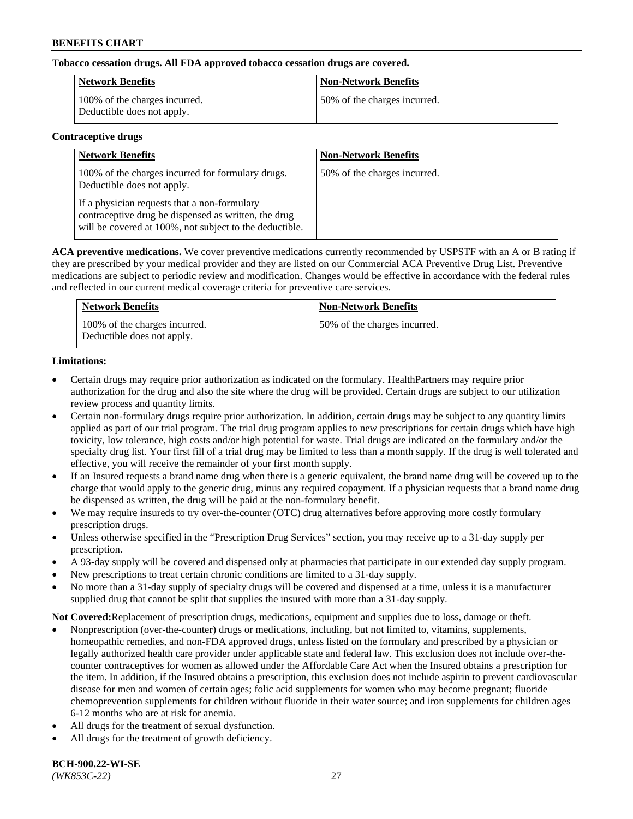## **Tobacco cessation drugs. All FDA approved tobacco cessation drugs are covered.**

| Network Benefits                                            | <b>Non-Network Benefits</b>  |
|-------------------------------------------------------------|------------------------------|
| 100% of the charges incurred.<br>Deductible does not apply. | 50% of the charges incurred. |

### **Contraceptive drugs**

| <b>Network Benefits</b>                                                                                                                                         | <b>Non-Network Benefits</b>  |
|-----------------------------------------------------------------------------------------------------------------------------------------------------------------|------------------------------|
| 100% of the charges incurred for formulary drugs.<br>Deductible does not apply.                                                                                 | 50% of the charges incurred. |
| If a physician requests that a non-formulary<br>contraceptive drug be dispensed as written, the drug<br>will be covered at 100%, not subject to the deductible. |                              |

**ACA preventive medications.** We cover preventive medications currently recommended by USPSTF with an A or B rating if they are prescribed by your medical provider and they are listed on our Commercial ACA Preventive Drug List. Preventive medications are subject to periodic review and modification. Changes would be effective in accordance with the federal rules and reflected in our current medical coverage criteria for preventive care services.

| <b>Network Benefits</b>                                     | <b>Non-Network Benefits</b>  |
|-------------------------------------------------------------|------------------------------|
| 100% of the charges incurred.<br>Deductible does not apply. | 50% of the charges incurred. |

## **Limitations:**

- Certain drugs may require prior authorization as indicated on the formulary. HealthPartners may require prior authorization for the drug and also the site where the drug will be provided. Certain drugs are subject to our utilization review process and quantity limits.
- Certain non-formulary drugs require prior authorization. In addition, certain drugs may be subject to any quantity limits applied as part of our trial program. The trial drug program applies to new prescriptions for certain drugs which have high toxicity, low tolerance, high costs and/or high potential for waste. Trial drugs are indicated on the formulary and/or the specialty drug list. Your first fill of a trial drug may be limited to less than a month supply. If the drug is well tolerated and effective, you will receive the remainder of your first month supply.
- If an Insured requests a brand name drug when there is a generic equivalent, the brand name drug will be covered up to the charge that would apply to the generic drug, minus any required copayment. If a physician requests that a brand name drug be dispensed as written, the drug will be paid at the non-formulary benefit.
- We may require insureds to try over-the-counter (OTC) drug alternatives before approving more costly formulary prescription drugs.
- Unless otherwise specified in the "Prescription Drug Services" section, you may receive up to a 31-day supply per prescription.
- A 93-day supply will be covered and dispensed only at pharmacies that participate in our extended day supply program.
- New prescriptions to treat certain chronic conditions are limited to a 31-day supply.
- No more than a 31-day supply of specialty drugs will be covered and dispensed at a time, unless it is a manufacturer supplied drug that cannot be split that supplies the insured with more than a 31-day supply.

**Not Covered:**Replacement of prescription drugs, medications, equipment and supplies due to loss, damage or theft.

- Nonprescription (over-the-counter) drugs or medications, including, but not limited to, vitamins, supplements, homeopathic remedies, and non-FDA approved drugs, unless listed on the formulary and prescribed by a physician or legally authorized health care provider under applicable state and federal law. This exclusion does not include over-thecounter contraceptives for women as allowed under the Affordable Care Act when the Insured obtains a prescription for the item. In addition, if the Insured obtains a prescription, this exclusion does not include aspirin to prevent cardiovascular disease for men and women of certain ages; folic acid supplements for women who may become pregnant; fluoride chemoprevention supplements for children without fluoride in their water source; and iron supplements for children ages 6-12 months who are at risk for anemia.
- All drugs for the treatment of sexual dysfunction.
- All drugs for the treatment of growth deficiency.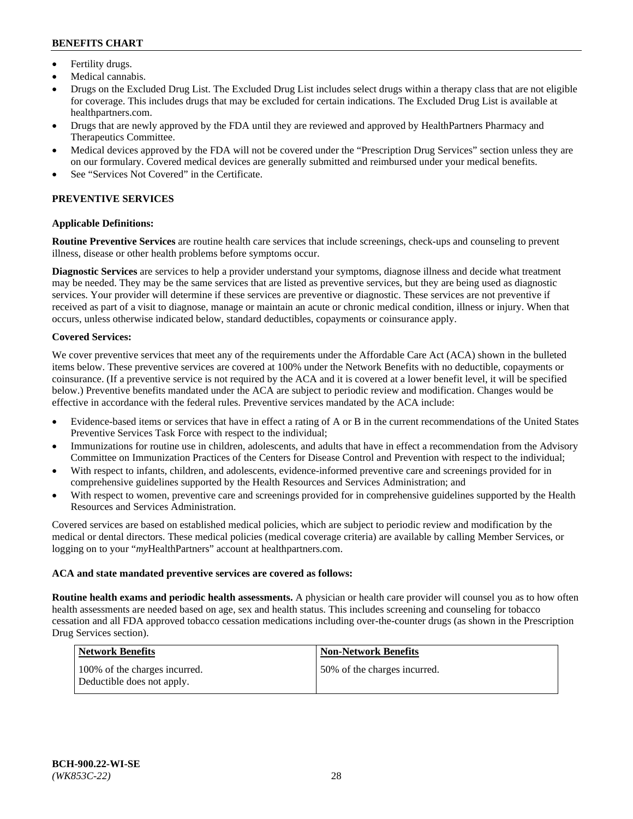- Fertility drugs.
- Medical cannabis.
- Drugs on the Excluded Drug List. The Excluded Drug List includes select drugs within a therapy class that are not eligible for coverage. This includes drugs that may be excluded for certain indications. The Excluded Drug List is available at [healthpartners.com.](http://www.healthpartners.com/)
- Drugs that are newly approved by the FDA until they are reviewed and approved by HealthPartners Pharmacy and Therapeutics Committee.
- Medical devices approved by the FDA will not be covered under the "Prescription Drug Services" section unless they are on our formulary. Covered medical devices are generally submitted and reimbursed under your medical benefits.
- See "Services Not Covered" in the Certificate.

# **PREVENTIVE SERVICES**

### **Applicable Definitions:**

**Routine Preventive Services** are routine health care services that include screenings, check-ups and counseling to prevent illness, disease or other health problems before symptoms occur.

**Diagnostic Services** are services to help a provider understand your symptoms, diagnose illness and decide what treatment may be needed. They may be the same services that are listed as preventive services, but they are being used as diagnostic services. Your provider will determine if these services are preventive or diagnostic. These services are not preventive if received as part of a visit to diagnose, manage or maintain an acute or chronic medical condition, illness or injury. When that occurs, unless otherwise indicated below, standard deductibles, copayments or coinsurance apply.

### **Covered Services:**

We cover preventive services that meet any of the requirements under the Affordable Care Act (ACA) shown in the bulleted items below. These preventive services are covered at 100% under the Network Benefits with no deductible, copayments or coinsurance. (If a preventive service is not required by the ACA and it is covered at a lower benefit level, it will be specified below.) Preventive benefits mandated under the ACA are subject to periodic review and modification. Changes would be effective in accordance with the federal rules. Preventive services mandated by the ACA include:

- Evidence-based items or services that have in effect a rating of A or B in the current recommendations of the United States Preventive Services Task Force with respect to the individual;
- Immunizations for routine use in children, adolescents, and adults that have in effect a recommendation from the Advisory Committee on Immunization Practices of the Centers for Disease Control and Prevention with respect to the individual;
- With respect to infants, children, and adolescents, evidence-informed preventive care and screenings provided for in comprehensive guidelines supported by the Health Resources and Services Administration; and
- With respect to women, preventive care and screenings provided for in comprehensive guidelines supported by the Health Resources and Services Administration.

Covered services are based on established medical policies, which are subject to periodic review and modification by the medical or dental directors. These medical policies (medical coverage criteria) are available by calling Member Services, or logging on to your "*my*HealthPartners" account at [healthpartners.com.](https://www.healthpartners.com/hp/index.html)

#### **ACA and state mandated preventive services are covered as follows:**

**Routine health exams and periodic health assessments.** A physician or health care provider will counsel you as to how often health assessments are needed based on age, sex and health status. This includes screening and counseling for tobacco cessation and all FDA approved tobacco cessation medications including over-the-counter drugs (as shown in the Prescription Drug Services section).

| <b>Network Benefits</b>                                     | <b>Non-Network Benefits</b>   |
|-------------------------------------------------------------|-------------------------------|
| 100% of the charges incurred.<br>Deductible does not apply. | 150% of the charges incurred. |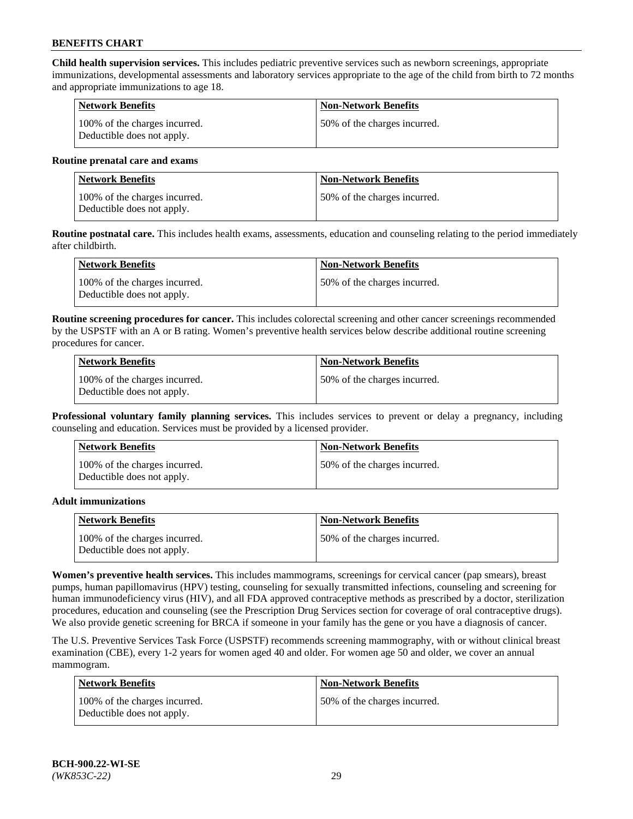**Child health supervision services.** This includes pediatric preventive services such as newborn screenings, appropriate immunizations, developmental assessments and laboratory services appropriate to the age of the child from birth to 72 months and appropriate immunizations to age 18.

| Network Benefits                                            | <b>Non-Network Benefits</b>  |
|-------------------------------------------------------------|------------------------------|
| 100% of the charges incurred.<br>Deductible does not apply. | 50% of the charges incurred. |

#### **Routine prenatal care and exams**

| Network Benefits                                            | <b>Non-Network Benefits</b>  |
|-------------------------------------------------------------|------------------------------|
| 100% of the charges incurred.<br>Deductible does not apply. | 50% of the charges incurred. |

**Routine postnatal care.** This includes health exams, assessments, education and counseling relating to the period immediately after childbirth.

| Network Benefits                                            | <b>Non-Network Benefits</b>  |
|-------------------------------------------------------------|------------------------------|
| 100% of the charges incurred.<br>Deductible does not apply. | 50% of the charges incurred. |

**Routine screening procedures for cancer.** This includes colorectal screening and other cancer screenings recommended by the USPSTF with an A or B rating. Women's preventive health services below describe additional routine screening procedures for cancer.

| <b>Network Benefits</b>                                     | <b>Non-Network Benefits</b>  |
|-------------------------------------------------------------|------------------------------|
| 100% of the charges incurred.<br>Deductible does not apply. | 50% of the charges incurred. |

**Professional voluntary family planning services.** This includes services to prevent or delay a pregnancy, including counseling and education. Services must be provided by a licensed provider.

| <b>Network Benefits</b>                                     | <b>Non-Network Benefits</b>  |
|-------------------------------------------------------------|------------------------------|
| 100% of the charges incurred.<br>Deductible does not apply. | 50% of the charges incurred. |

#### **Adult immunizations**

| <b>Network Benefits</b>                                     | <b>Non-Network Benefits</b>  |
|-------------------------------------------------------------|------------------------------|
| 100% of the charges incurred.<br>Deductible does not apply. | 50% of the charges incurred. |

**Women's preventive health services.** This includes mammograms, screenings for cervical cancer (pap smears), breast pumps, human papillomavirus (HPV) testing, counseling for sexually transmitted infections, counseling and screening for human immunodeficiency virus (HIV), and all FDA approved contraceptive methods as prescribed by a doctor, sterilization procedures, education and counseling (see the Prescription Drug Services section for coverage of oral contraceptive drugs). We also provide genetic screening for BRCA if someone in your family has the gene or you have a diagnosis of cancer.

The U.S. Preventive Services Task Force (USPSTF) recommends screening mammography, with or without clinical breast examination (CBE), every 1-2 years for women aged 40 and older. For women age 50 and older, we cover an annual mammogram.

| <b>Network Benefits</b>                                     | <b>Non-Network Benefits</b>   |
|-------------------------------------------------------------|-------------------------------|
| 100% of the charges incurred.<br>Deductible does not apply. | 150% of the charges incurred. |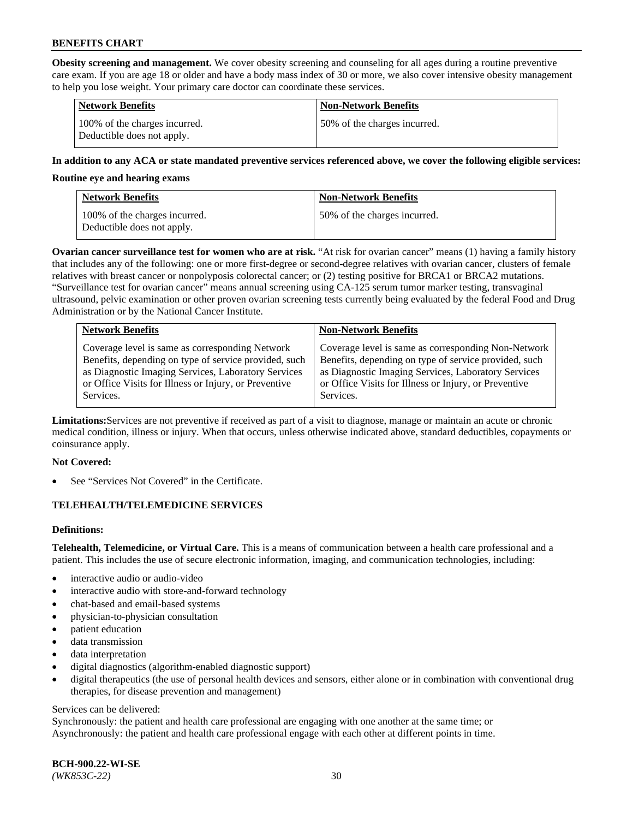**Obesity screening and management.** We cover obesity screening and counseling for all ages during a routine preventive care exam. If you are age 18 or older and have a body mass index of 30 or more, we also cover intensive obesity management to help you lose weight. Your primary care doctor can coordinate these services.

| <b>Network Benefits</b>                                     | <b>Non-Network Benefits</b>  |
|-------------------------------------------------------------|------------------------------|
| 100% of the charges incurred.<br>Deductible does not apply. | 50% of the charges incurred. |

### **In addition to any ACA or state mandated preventive services referenced above, we cover the following eligible services:**

#### **Routine eye and hearing exams**

| <b>Network Benefits</b>                                     | <b>Non-Network Benefits</b>  |
|-------------------------------------------------------------|------------------------------|
| 100% of the charges incurred.<br>Deductible does not apply. | 50% of the charges incurred. |

**Ovarian cancer surveillance test for women who are at risk.** "At risk for ovarian cancer" means (1) having a family history that includes any of the following: one or more first-degree or second-degree relatives with ovarian cancer, clusters of female relatives with breast cancer or nonpolyposis colorectal cancer; or (2) testing positive for BRCA1 or BRCA2 mutations. "Surveillance test for ovarian cancer" means annual screening using CA-125 serum tumor marker testing, transvaginal ultrasound, pelvic examination or other proven ovarian screening tests currently being evaluated by the federal Food and Drug Administration or by the National Cancer Institute.

| <b>Network Benefits</b>                               | <b>Non-Network Benefits</b>                           |
|-------------------------------------------------------|-------------------------------------------------------|
| Coverage level is same as corresponding Network       | Coverage level is same as corresponding Non-Network   |
| Benefits, depending on type of service provided, such | Benefits, depending on type of service provided, such |
| as Diagnostic Imaging Services, Laboratory Services   | as Diagnostic Imaging Services, Laboratory Services   |
| or Office Visits for Illness or Injury, or Preventive | or Office Visits for Illness or Injury, or Preventive |
| Services.                                             | Services.                                             |

**Limitations:**Services are not preventive if received as part of a visit to diagnose, manage or maintain an acute or chronic medical condition, illness or injury. When that occurs, unless otherwise indicated above, standard deductibles, copayments or coinsurance apply.

#### **Not Covered:**

See "Services Not Covered" in the Certificate.

## **TELEHEALTH/TELEMEDICINE SERVICES**

## **Definitions:**

**Telehealth, Telemedicine, or Virtual Care.** This is a means of communication between a health care professional and a patient. This includes the use of secure electronic information, imaging, and communication technologies, including:

- interactive audio or audio-video
- interactive audio with store-and-forward technology
- chat-based and email-based systems
- physician-to-physician consultation
- patient education
- data transmission
- data interpretation
- digital diagnostics (algorithm-enabled diagnostic support)
- digital therapeutics (the use of personal health devices and sensors, either alone or in combination with conventional drug therapies, for disease prevention and management)

#### Services can be delivered:

Synchronously: the patient and health care professional are engaging with one another at the same time; or Asynchronously: the patient and health care professional engage with each other at different points in time.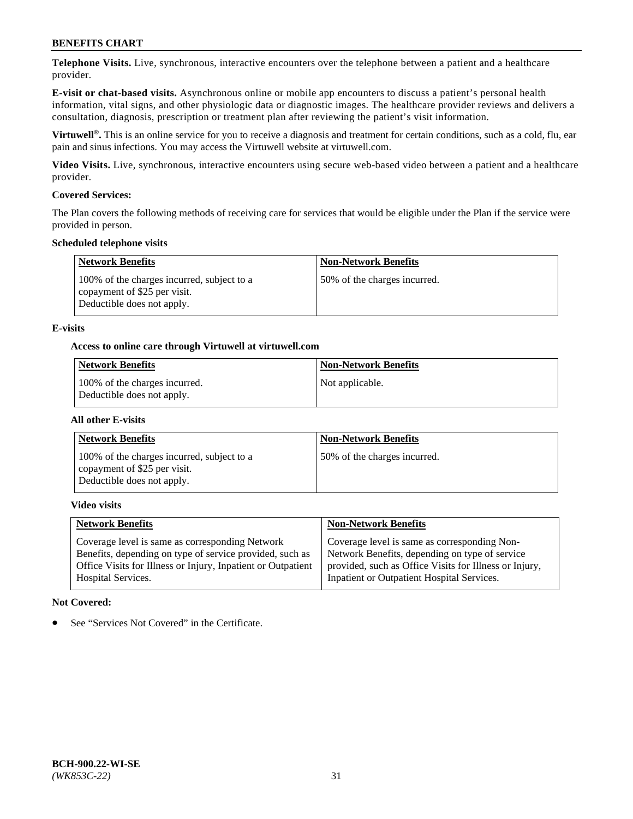**Telephone Visits.** Live, synchronous, interactive encounters over the telephone between a patient and a healthcare provider.

**E-visit or chat-based visits.** Asynchronous online or mobile app encounters to discuss a patient's personal health information, vital signs, and other physiologic data or diagnostic images. The healthcare provider reviews and delivers a consultation, diagnosis, prescription or treatment plan after reviewing the patient's visit information.

**Virtuwell®.** This is an online service for you to receive a diagnosis and treatment for certain conditions, such as a cold, flu, ear pain and sinus infections. You may access the Virtuwell website at [virtuwell.com.](https://www.virtuwell.com/)

**Video Visits.** Live, synchronous, interactive encounters using secure web-based video between a patient and a healthcare provider.

### **Covered Services:**

The Plan covers the following methods of receiving care for services that would be eligible under the Plan if the service were provided in person.

#### **Scheduled telephone visits**

| <b>Network Benefits</b>                                                                                  | <b>Non-Network Benefits</b>  |
|----------------------------------------------------------------------------------------------------------|------------------------------|
| 100% of the charges incurred, subject to a<br>copayment of \$25 per visit.<br>Deductible does not apply. | 50% of the charges incurred. |

### **E-visits**

### **Access to online care through Virtuwell at [virtuwell.com](https://www.virtuwell.com/)**

| Network Benefits                                            | <b>Non-Network Benefits</b> |
|-------------------------------------------------------------|-----------------------------|
| 100% of the charges incurred.<br>Deductible does not apply. | Not applicable.             |

#### **All other E-visits**

| <b>Network Benefits</b>                                                                                  | <b>Non-Network Benefits</b>  |
|----------------------------------------------------------------------------------------------------------|------------------------------|
| 100% of the charges incurred, subject to a<br>copayment of \$25 per visit.<br>Deductible does not apply. | 50% of the charges incurred. |

#### **Video visits**

| <b>Network Benefits</b>                                      | <b>Non-Network Benefits</b>                            |
|--------------------------------------------------------------|--------------------------------------------------------|
| Coverage level is same as corresponding Network              | Coverage level is same as corresponding Non-           |
| Benefits, depending on type of service provided, such as     | Network Benefits, depending on type of service         |
| Office Visits for Illness or Injury, Inpatient or Outpatient | provided, such as Office Visits for Illness or Injury, |
| Hospital Services.                                           | Inpatient or Outpatient Hospital Services.             |

#### **Not Covered:**

See "Services Not Covered" in the Certificate.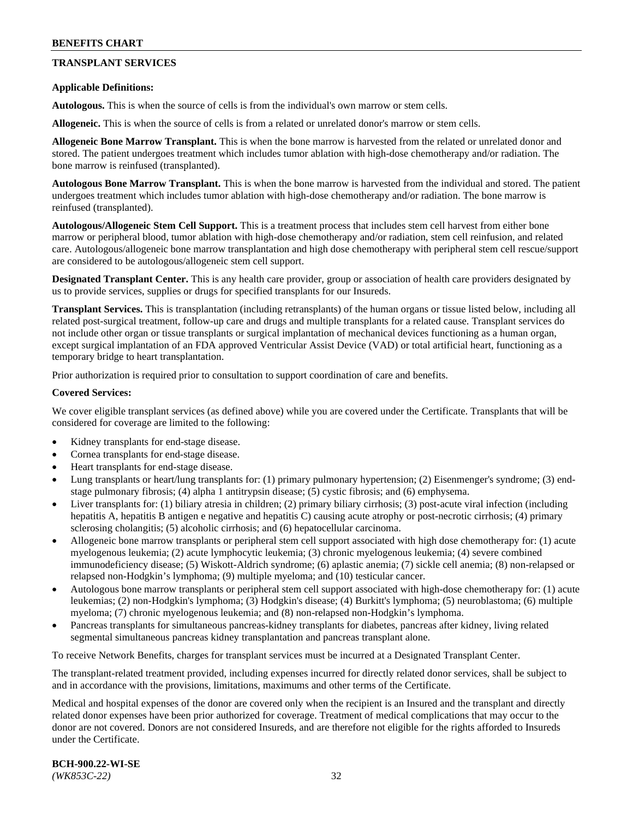## **TRANSPLANT SERVICES**

#### **Applicable Definitions:**

**Autologous.** This is when the source of cells is from the individual's own marrow or stem cells.

**Allogeneic.** This is when the source of cells is from a related or unrelated donor's marrow or stem cells.

**Allogeneic Bone Marrow Transplant.** This is when the bone marrow is harvested from the related or unrelated donor and stored. The patient undergoes treatment which includes tumor ablation with high-dose chemotherapy and/or radiation. The bone marrow is reinfused (transplanted).

**Autologous Bone Marrow Transplant.** This is when the bone marrow is harvested from the individual and stored. The patient undergoes treatment which includes tumor ablation with high-dose chemotherapy and/or radiation. The bone marrow is reinfused (transplanted).

**Autologous/Allogeneic Stem Cell Support.** This is a treatment process that includes stem cell harvest from either bone marrow or peripheral blood, tumor ablation with high-dose chemotherapy and/or radiation, stem cell reinfusion, and related care. Autologous/allogeneic bone marrow transplantation and high dose chemotherapy with peripheral stem cell rescue/support are considered to be autologous/allogeneic stem cell support.

**Designated Transplant Center.** This is any health care provider, group or association of health care providers designated by us to provide services, supplies or drugs for specified transplants for our Insureds.

**Transplant Services.** This is transplantation (including retransplants) of the human organs or tissue listed below, including all related post-surgical treatment, follow-up care and drugs and multiple transplants for a related cause. Transplant services do not include other organ or tissue transplants or surgical implantation of mechanical devices functioning as a human organ, except surgical implantation of an FDA approved Ventricular Assist Device (VAD) or total artificial heart, functioning as a temporary bridge to heart transplantation.

Prior authorization is required prior to consultation to support coordination of care and benefits.

#### **Covered Services:**

We cover eligible transplant services (as defined above) while you are covered under the Certificate. Transplants that will be considered for coverage are limited to the following:

- Kidney transplants for end-stage disease.
- Cornea transplants for end-stage disease.
- Heart transplants for end-stage disease.
- Lung transplants or heart/lung transplants for: (1) primary pulmonary hypertension; (2) Eisenmenger's syndrome; (3) endstage pulmonary fibrosis; (4) alpha 1 antitrypsin disease; (5) cystic fibrosis; and (6) emphysema.
- Liver transplants for: (1) biliary atresia in children; (2) primary biliary cirrhosis; (3) post-acute viral infection (including hepatitis A, hepatitis B antigen e negative and hepatitis C) causing acute atrophy or post-necrotic cirrhosis; (4) primary sclerosing cholangitis; (5) alcoholic cirrhosis; and (6) hepatocellular carcinoma.
- Allogeneic bone marrow transplants or peripheral stem cell support associated with high dose chemotherapy for: (1) acute myelogenous leukemia; (2) acute lymphocytic leukemia; (3) chronic myelogenous leukemia; (4) severe combined immunodeficiency disease; (5) Wiskott-Aldrich syndrome; (6) aplastic anemia; (7) sickle cell anemia; (8) non-relapsed or relapsed non-Hodgkin's lymphoma; (9) multiple myeloma; and (10) testicular cancer.
- Autologous bone marrow transplants or peripheral stem cell support associated with high-dose chemotherapy for: (1) acute leukemias; (2) non-Hodgkin's lymphoma; (3) Hodgkin's disease; (4) Burkitt's lymphoma; (5) neuroblastoma; (6) multiple myeloma; (7) chronic myelogenous leukemia; and (8) non-relapsed non-Hodgkin's lymphoma.
- Pancreas transplants for simultaneous pancreas-kidney transplants for diabetes, pancreas after kidney, living related segmental simultaneous pancreas kidney transplantation and pancreas transplant alone.

To receive Network Benefits, charges for transplant services must be incurred at a Designated Transplant Center.

The transplant-related treatment provided, including expenses incurred for directly related donor services, shall be subject to and in accordance with the provisions, limitations, maximums and other terms of the Certificate.

Medical and hospital expenses of the donor are covered only when the recipient is an Insured and the transplant and directly related donor expenses have been prior authorized for coverage. Treatment of medical complications that may occur to the donor are not covered. Donors are not considered Insureds, and are therefore not eligible for the rights afforded to Insureds under the Certificate.